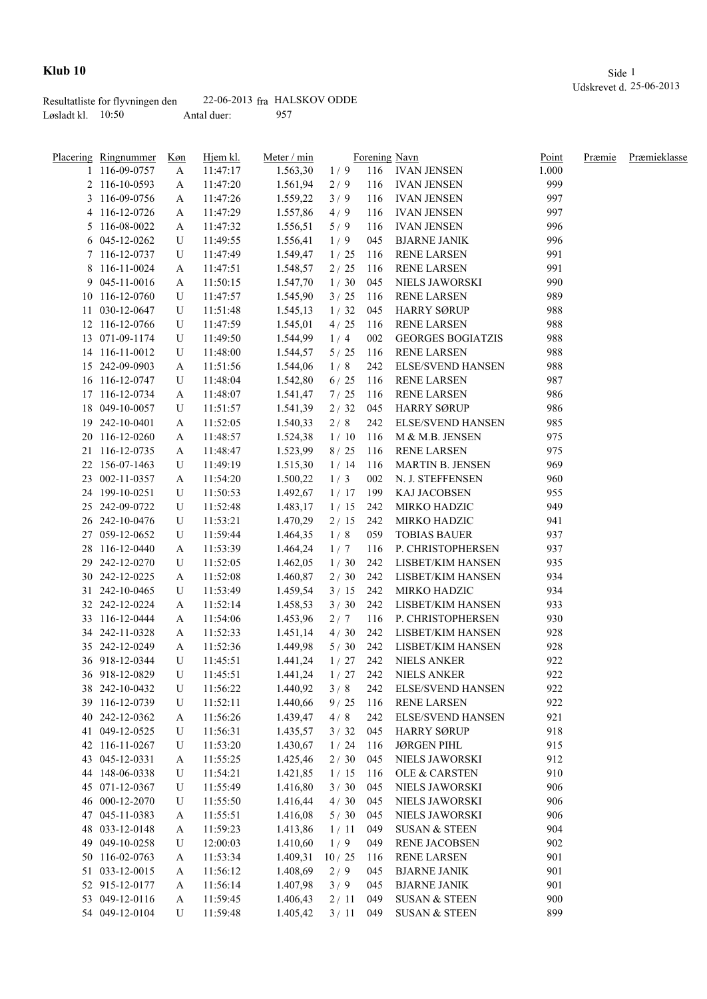|                     | Resultatliste for flyvningen den |             | $22-06-2013$ fra HALSKOV ODDE |
|---------------------|----------------------------------|-------------|-------------------------------|
| Løsladt kl. $10:50$ |                                  | Antal duer: | 957                           |

|    | Placering Ringnummer | Køn | Hjem kl. | Meter / min |        |     | Forening Navn            | Point | Præmie | Præmieklasse |
|----|----------------------|-----|----------|-------------|--------|-----|--------------------------|-------|--------|--------------|
|    | 1 116-09-0757        | A   | 11:47:17 | 1.563,30    | 1/9    | 116 | <b>IVAN JENSEN</b>       | 1.000 |        |              |
|    | 2 116-10-0593        | A   | 11:47:20 | 1.561,94    | 2/9    | 116 | <b>IVAN JENSEN</b>       | 999   |        |              |
|    | 3 116-09-0756        | A   | 11:47:26 | 1.559,22    | 3/9    | 116 | <b>IVAN JENSEN</b>       | 997   |        |              |
|    | 4 116-12-0726        | A   | 11:47:29 | 1.557,86    | 4/9    | 116 | <b>IVAN JENSEN</b>       | 997   |        |              |
|    | 5 116-08-0022        | A   | 11:47:32 | 1.556,51    | 5/9    | 116 | <b>IVAN JENSEN</b>       | 996   |        |              |
|    | 6 045-12-0262        | U   | 11:49:55 | 1.556,41    | 1/9    | 045 | <b>BJARNE JANIK</b>      | 996   |        |              |
|    | 7 116-12-0737        | U   | 11:47:49 | 1.549,47    | 1/25   | 116 | RENE LARSEN              | 991   |        |              |
|    | 8 116-11-0024        | A   | 11:47:51 | 1.548,57    | 2/25   | 116 | <b>RENE LARSEN</b>       | 991   |        |              |
|    | 9 045-11-0016        | A   | 11:50:15 | 1.547,70    | 1/30   | 045 | NIELS JAWORSKI           | 990   |        |              |
|    | 10 116-12-0760       | U   | 11:47:57 | 1.545,90    | 3/25   | 116 | <b>RENE LARSEN</b>       | 989   |        |              |
|    | 11 030-12-0647       | U   | 11:51:48 | 1.545,13    | 1/32   | 045 | <b>HARRY SØRUP</b>       | 988   |        |              |
|    | 12 116-12-0766       | U   | 11:47:59 | 1.545,01    | 4/25   | 116 | <b>RENE LARSEN</b>       | 988   |        |              |
|    | 13 071-09-1174       | U   | 11:49:50 | 1.544,99    | 1/4    | 002 | <b>GEORGES BOGIATZIS</b> | 988   |        |              |
|    | 14 116-11-0012       | U   | 11:48:00 | 1.544,57    | 5/25   | 116 | <b>RENE LARSEN</b>       | 988   |        |              |
|    | 15 242-09-0903       | A   | 11:51:56 | 1.544,06    | 1/8    | 242 | <b>ELSE/SVEND HANSEN</b> | 988   |        |              |
|    | 16 116-12-0747       | U   | 11:48:04 | 1.542,80    | $6/25$ | 116 | <b>RENE LARSEN</b>       | 987   |        |              |
|    | 17 116-12-0734       | A   | 11:48:07 | 1.541,47    | 7/25   | 116 | <b>RENE LARSEN</b>       | 986   |        |              |
|    | 18 049-10-0057       | U   | 11:51:57 | 1.541,39    | 2/32   | 045 | <b>HARRY SØRUP</b>       | 986   |        |              |
|    | 19 242-10-0401       | A   | 11:52:05 | 1.540,33    | 2/8    | 242 | <b>ELSE/SVEND HANSEN</b> | 985   |        |              |
|    | 20 116-12-0260       | A   | 11:48:57 | 1.524,38    | 1/10   | 116 | M & M.B. JENSEN          | 975   |        |              |
|    | 21 116-12-0735       |     | 11:48:47 | 1.523,99    | 8/25   | 116 | <b>RENE LARSEN</b>       | 975   |        |              |
|    |                      | A   |          |             |        |     |                          | 969   |        |              |
|    | 22 156-07-1463       | U   | 11:49:19 | 1.515,30    | 1/14   | 116 | MARTIN B. JENSEN         |       |        |              |
|    | 23 002-11-0357       | A   | 11:54:20 | 1.500,22    | 1/3    | 002 | N. J. STEFFENSEN         | 960   |        |              |
|    | 24 199-10-0251       | U   | 11:50:53 | 1.492,67    | 1/17   | 199 | KAJ JACOBSEN             | 955   |        |              |
|    | 25 242-09-0722       | U   | 11:52:48 | 1.483,17    | 1/15   | 242 | MIRKO HADZIC             | 949   |        |              |
|    | 26 242-10-0476       | U   | 11:53:21 | 1.470,29    | 2/15   | 242 | MIRKO HADZIC             | 941   |        |              |
|    | 27 059-12-0652       | U   | 11:59:44 | 1.464,35    | 1/8    | 059 | <b>TOBIAS BAUER</b>      | 937   |        |              |
|    | 28 116-12-0440       | A   | 11:53:39 | 1.464,24    | 1/7    | 116 | P. CHRISTOPHERSEN        | 937   |        |              |
| 29 | 242-12-0270          | U   | 11:52:05 | 1.462,05    | 1/30   | 242 | LISBET/KIM HANSEN        | 935   |        |              |
|    | 30 242-12-0225       | A   | 11:52:08 | 1.460,87    | 2/30   | 242 | LISBET/KIM HANSEN        | 934   |        |              |
|    | 31 242-10-0465       | U   | 11:53:49 | 1.459,54    | 3/15   | 242 | MIRKO HADZIC             | 934   |        |              |
|    | 32 242-12-0224       | A   | 11:52:14 | 1.458,53    | 3/30   | 242 | LISBET/KIM HANSEN        | 933   |        |              |
|    | 33 116-12-0444       | A   | 11:54:06 | 1.453,96    | 2/7    | 116 | P. CHRISTOPHERSEN        | 930   |        |              |
|    | 34 242-11-0328       | A   | 11:52:33 | 1.451,14    | 4/30   | 242 | LISBET/KIM HANSEN        | 928   |        |              |
|    | 35 242-12-0249       | A   | 11:52:36 | 1.449,98    | 5/30   | 242 | LISBET/KIM HANSEN        | 928   |        |              |
|    | 36 918-12-0344       | U   | 11:45:51 | 1.441,24    | 1/27   | 242 | <b>NIELS ANKER</b>       | 922   |        |              |
|    | 36 918-12-0829       | U   | 11:45:51 | 1.441,24    |        |     | 1/27 242 NIELS ANKER     | 922   |        |              |
|    | 38 242-10-0432       | U   | 11:56:22 | 1.440,92    | 3/8    | 242 | <b>ELSE/SVEND HANSEN</b> | 922   |        |              |
|    | 39 116-12-0739       | U   | 11:52:11 | 1.440,66    | 9/25   | 116 | <b>RENE LARSEN</b>       | 922   |        |              |
|    | 40 242-12-0362       | A   | 11:56:26 | 1.439,47    | 4/8    | 242 | <b>ELSE/SVEND HANSEN</b> | 921   |        |              |
|    | 41 049-12-0525       | U   | 11:56:31 | 1.435,57    | 3/32   | 045 | <b>HARRY SØRUP</b>       | 918   |        |              |
|    | 42 116-11-0267       | U   | 11:53:20 | 1.430,67    | 1/24   | 116 | <b>JØRGEN PIHL</b>       | 915   |        |              |
| 43 | 045-12-0331          | A   | 11:55:25 | 1.425,46    | $2/30$ | 045 | NIELS JAWORSKI           | 912   |        |              |
|    | 44 148-06-0338       | U   | 11:54:21 | 1.421,85    | 1/15   | 116 | OLE & CARSTEN            | 910   |        |              |
| 45 | 071-12-0367          | U   | 11:55:49 | 1.416,80    | $3/30$ | 045 | NIELS JAWORSKI           | 906   |        |              |
|    | 46 000-12-2070       | U   | 11:55:50 | 1.416,44    | 4/30   | 045 | NIELS JAWORSKI           | 906   |        |              |
|    | 47 045-11-0383       | A   | 11:55:51 | 1.416,08    | 5/30   | 045 | NIELS JAWORSKI           | 906   |        |              |
|    | 48 033-12-0148       | A   | 11:59:23 | 1.413,86    | 1/11   | 049 | <b>SUSAN &amp; STEEN</b> | 904   |        |              |
|    | 49 049-10-0258       | U   | 12:00:03 | 1.410,60    | 1/9    | 049 | RENE JACOBSEN            | 902   |        |              |
|    | 50 116-02-0763       | A   | 11:53:34 | 1.409,31    | 10/25  | 116 | <b>RENE LARSEN</b>       | 901   |        |              |
|    | 51 033-12-0015       | A   | 11:56:12 | 1.408,69    | 2/9    | 045 | <b>BJARNE JANIK</b>      | 901   |        |              |
|    | 52 915-12-0177       | A   | 11:56:14 | 1.407,98    | 3/9    | 045 | <b>BJARNE JANIK</b>      | 901   |        |              |
|    | 53 049-12-0116       | A   | 11:59:45 | 1.406,43    | 2/11   | 049 | <b>SUSAN &amp; STEEN</b> | 900   |        |              |
|    | 54 049-12-0104       | U   | 11:59:48 | 1.405,42    | 3/11   | 049 | <b>SUSAN &amp; STEEN</b> | 899   |        |              |
|    |                      |     |          |             |        |     |                          |       |        |              |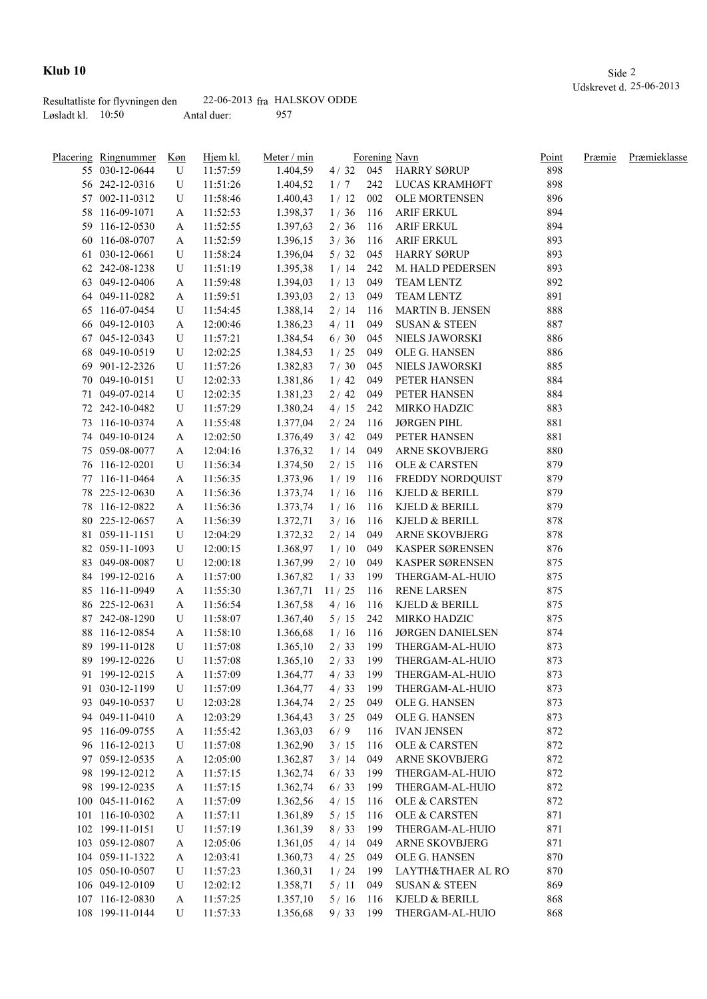|                     | Resultatliste for flyvningen den |             | $22-06-2013$ fra HALSKOV ODDE |
|---------------------|----------------------------------|-------------|-------------------------------|
| Løsladt kl. $10:50$ |                                  | Antal duer: | 957                           |

|    | <u>Placering Ringnummer</u> | <u>Køn</u> | Hjem kl. | Meter / min |            |      | Forening Navn            | Point | Præmie | Præmieklasse |
|----|-----------------------------|------------|----------|-------------|------------|------|--------------------------|-------|--------|--------------|
|    | 55 030-12-0644              | U          | 11:57:59 | 1.404,59    | $4/32$ 045 |      | <b>HARRY SØRUP</b>       | 898   |        |              |
|    | 56 242-12-0316              | U          | 11:51:26 | 1.404,52    | 1/7        | 242  | LUCAS KRAMHØFT           | 898   |        |              |
|    | 57 002-11-0312              | U          | 11:58:46 | 1.400,43    | 1/12       | 002  | OLE MORTENSEN            | 896   |        |              |
|    | 58 116-09-1071              | A          | 11:52:53 | 1.398,37    | 1/36       | 116  | <b>ARIF ERKUL</b>        | 894   |        |              |
|    | 59 116-12-0530              | A          | 11:52:55 | 1.397,63    | 2/36       | 116  | <b>ARIF ERKUL</b>        | 894   |        |              |
|    | 60 116-08-0707              | A          | 11:52:59 | 1.396,15    | 3/36       | 116  | <b>ARIF ERKUL</b>        | 893   |        |              |
|    | 61 030-12-0661              | U          | 11:58:24 | 1.396,04    | 5/32       | 045  | HARRY SØRUP              | 893   |        |              |
|    | 62 242-08-1238              | U          | 11:51:19 | 1.395,38    | 1/14       | 242  | M. HALD PEDERSEN         | 893   |        |              |
|    | 63 049-12-0406              | A          | 11:59:48 | 1.394,03    | 1/13       | 049  | <b>TEAM LENTZ</b>        | 892   |        |              |
|    | 64 049-11-0282              | A          | 11:59:51 | 1.393,03    | 2/13       | 049  | <b>TEAM LENTZ</b>        | 891   |        |              |
|    | 65 116-07-0454              | U          | 11:54:45 | 1.388,14    | 2/14       | 116  | <b>MARTIN B. JENSEN</b>  | 888   |        |              |
|    | 66 049-12-0103              | A          | 12:00:46 | 1.386,23    | 4/11       | 049  | <b>SUSAN &amp; STEEN</b> | 887   |        |              |
|    | 67 045-12-0343              | U          | 11:57:21 | 1.384,54    | 6/30       | 045  | NIELS JAWORSKI           | 886   |        |              |
|    | 68 049-10-0519              | U          | 12:02:25 | 1.384,53    | 1/25       | 049  | OLE G. HANSEN            | 886   |        |              |
|    | 69 901-12-2326              | U          | 11:57:26 | 1.382,83    | 7/30       | 045  | NIELS JAWORSKI           | 885   |        |              |
|    | 70 049-10-0151              | U          | 12:02:33 | 1.381,86    | 1/42       | 049  | PETER HANSEN             | 884   |        |              |
|    | 71 049-07-0214              | U          | 12:02:35 | 1.381,23    | 2/42       | 049  | PETER HANSEN             | 884   |        |              |
|    | 72 242-10-0482              | U          | 11:57:29 | 1.380,24    | 4/15       | 242  | MIRKO HADZIC             | 883   |        |              |
|    | 73 116-10-0374              |            |          |             |            | 116  | <b>JØRGEN PIHL</b>       | 881   |        |              |
|    |                             | A          | 11:55:48 | 1.377,04    | 2/24       |      |                          | 881   |        |              |
|    | 74 049-10-0124              | A          | 12:02:50 | 1.376,49    | 3/42       | 049  | PETER HANSEN             |       |        |              |
|    | 75 059-08-0077              | A          | 12:04:16 | 1.376,32    | 1/14       | 049  | ARNE SKOVBJERG           | 880   |        |              |
|    | 76 116-12-0201              | U          | 11:56:34 | 1.374,50    | 2/15       | 116  | OLE & CARSTEN            | 879   |        |              |
|    | 77 116-11-0464              | A          | 11:56:35 | 1.373,96    | 1/19       | 116  | FREDDY NORDQUIST         | 879   |        |              |
| 78 | 225-12-0630                 | A          | 11:56:36 | 1.373,74    | 1/16       |      | 116 KJELD & BERILL       | 879   |        |              |
|    | 78 116-12-0822              | A          | 11:56:36 | 1.373,74    | 1/16       | 116  | KJELD & BERILL           | 879   |        |              |
| 80 | 225-12-0657                 | A          | 11:56:39 | 1.372,71    | 3/16       | 116  | KJELD & BERILL           | 878   |        |              |
|    | 81 059-11-1151              | U          | 12:04:29 | 1.372,32    | 2/14       | 049  | <b>ARNE SKOVBJERG</b>    | 878   |        |              |
|    | 82 059-11-1093              | U          | 12:00:15 | 1.368,97    | 1/10       | 049  | KASPER SØRENSEN          | 876   |        |              |
|    | 83 049-08-0087              | U          | 12:00:18 | 1.367,99    | 2/10       | 049  | KASPER SØRENSEN          | 875   |        |              |
|    | 84 199-12-0216              | A          | 11:57:00 | 1.367,82    | 1/33       | 199  | THERGAM-AL-HUIO          | 875   |        |              |
|    | 85 116-11-0949              | A          | 11:55:30 | 1.367,71    | 11/25      | 116  | <b>RENE LARSEN</b>       | 875   |        |              |
|    | 86 225-12-0631              | A          | 11:56:54 | 1.367,58    | 4/16       | 116  | KJELD & BERILL           | 875   |        |              |
|    | 87 242-08-1290              | U          | 11:58:07 | 1.367,40    | 5/15       | 242  | MIRKO HADZIC             | 875   |        |              |
|    | 88 116-12-0854              | A          | 11:58:10 | 1.366,68    | 1/16       | 116  | <b>JØRGEN DANIELSEN</b>  | 874   |        |              |
|    | 89 199-11-0128              | U          | 11:57:08 | 1.365,10    | 2/33       | 199  | THERGAM-AL-HUIO          | 873   |        |              |
|    | 89 199-12-0226              | U          | 11:57:08 | 1.365,10    | $2/33$ 199 |      | THERGAM-AL-HUIO          | 873   |        |              |
|    | 91 199-12-0215              | A          | 11:57:09 | 1.364,77    | $4/33$ 199 |      | THERGAM-AL-HUIO          | 873   |        |              |
|    | 91 030-12-1199              | U          | 11:57:09 | 1.364,77    | 4/33       | 199  | THERGAM-AL-HUIO          | 873   |        |              |
|    | 93 049-10-0537              | U          | 12:03:28 | 1.364,74    | 2/25       | 049  | OLE G. HANSEN            | 873   |        |              |
|    | 94 049-11-0410              | A          | 12:03:29 | 1.364,43    | 3/25       | 049  | OLE G. HANSEN            | 873   |        |              |
|    | 95 116-09-0755              | A          | 11:55:42 | 1.363,03    | 6/9        | 116  | <b>IVAN JENSEN</b>       | 872   |        |              |
|    | 96 116-12-0213              | U          | 11:57:08 | 1.362,90    | 3/15       | 116  | <b>OLE &amp; CARSTEN</b> | 872   |        |              |
|    | 97 059-12-0535              | A          | 12:05:00 | 1.362,87    | 3 / 14     | 049  | ARNE SKOVBJERG           | 872   |        |              |
|    | 98 199-12-0212              | A          | 11:57:15 | 1.362,74    | 6/33       | 199  | THERGAM-AL-HUIO          | 872   |        |              |
|    | 98 199-12-0235              | A          | 11:57:15 | 1.362,74    | 6/33       | 199  | THERGAM-AL-HUIO          | 872   |        |              |
|    | 100 045-11-0162             | A          | 11:57:09 | 1.362,56    | 4/15       | 116  | OLE & CARSTEN            | 872   |        |              |
|    | 101 116-10-0302             | A          | 11:57:11 | 1.361,89    | $5/15$     | 116  | OLE & CARSTEN            | 871   |        |              |
|    | 102 199-11-0151             | U          | 11:57:19 | 1.361,39    | 8/33       | 199  | THERGAM-AL-HUIO          | 871   |        |              |
|    | 103 059-12-0807             | A          | 12:05:06 | 1.361,05    | 4/14       | 049  | ARNE SKOVBJERG           | 871   |        |              |
|    | 104 059-11-1322             |            | 12:03:41 | 1.360,73    | 4/25       | 049  | OLE G. HANSEN            | 870   |        |              |
|    | 105 050-10-0507             | A<br>U     | 11:57:23 | 1.360,31    | 1/24       | 199  | LAYTH&THAER AL RO        | 870   |        |              |
|    |                             |            |          |             |            |      |                          |       |        |              |
|    | 106 049-12-0109             | U          | 12:02:12 | 1.358,71    | 5/11       | 049  | <b>SUSAN &amp; STEEN</b> | 869   |        |              |
|    | 107 116-12-0830             | A          | 11:57:25 | 1.357,10    | 5/16       | -116 | KJELD & BERILL           | 868   |        |              |
|    | 108 199-11-0144             | U          | 11:57:33 | 1.356,68    | 9/33 199   |      | THERGAM-AL-HUIO          | 868   |        |              |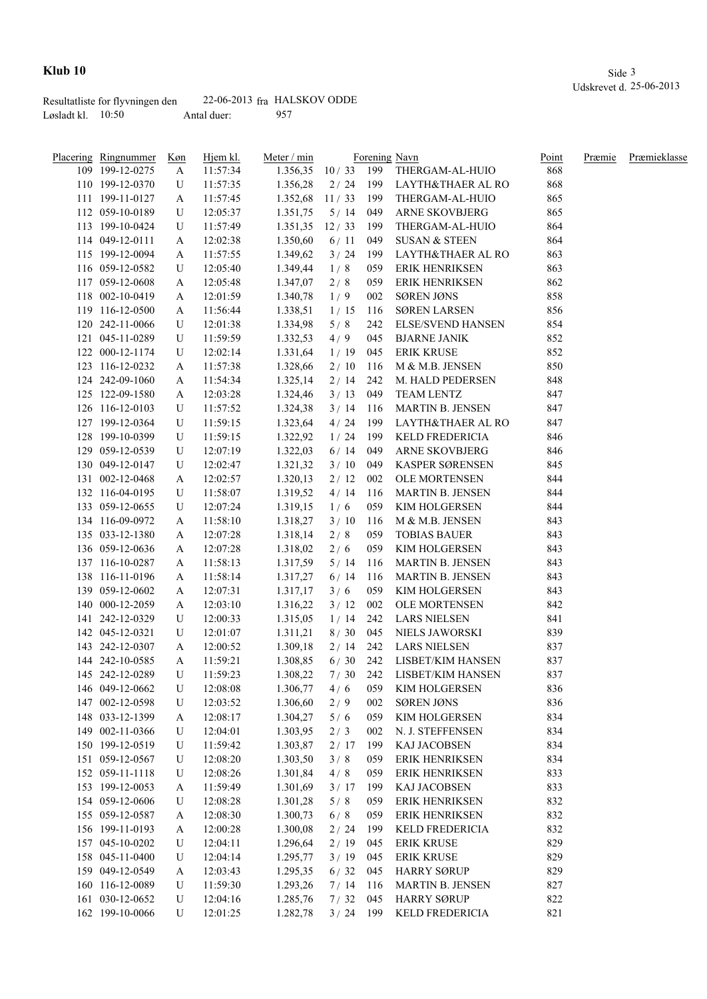|                     | Resultatliste for flyvningen den |             | $22-06-2013$ fra HALSKOV ODDE |
|---------------------|----------------------------------|-------------|-------------------------------|
| Løsladt kl. $10:50$ |                                  | Antal duer: | 957                           |

| Placering Ringnummer | <u>Køn</u> | Hjem kl. | Meter / min        |            |     | Forening Navn            | Point | Præmie | Præmieklasse |
|----------------------|------------|----------|--------------------|------------|-----|--------------------------|-------|--------|--------------|
| 109 199-12-0275      | A          | 11:57:34 | 1.356,35 10/33 199 |            |     | THERGAM-AL-HUIO          | 868   |        |              |
| 110 199-12-0370      | U          | 11:57:35 | 1.356,28           | 2/24       | 199 | LAYTH&THAER AL RO        | 868   |        |              |
| 111 199-11-0127      | A          | 11:57:45 | 1.352,68           | 11/33      | 199 | THERGAM-AL-HUIO          | 865   |        |              |
| 112 059-10-0189      | U          | 12:05:37 | 1.351,75           | 5/14       | 049 | ARNE SKOVBJERG           | 865   |        |              |
| 113 199-10-0424      | U          | 11:57:49 | 1.351,35           | 12/33      | 199 | THERGAM-AL-HUIO          | 864   |        |              |
| 114 049-12-0111      | A          | 12:02:38 | 1.350,60           | 6/11       | 049 | <b>SUSAN &amp; STEEN</b> | 864   |        |              |
| 115 199-12-0094      | A          | 11:57:55 | 1.349,62           | 3/24       | 199 | LAYTH&THAER AL RO        | 863   |        |              |
| 116 059-12-0582      | U          | 12:05:40 | 1.349,44           | 1/8        | 059 | <b>ERIK HENRIKSEN</b>    | 863   |        |              |
| 117 059-12-0608      | A          | 12:05:48 | 1.347,07           | 2/8        | 059 | <b>ERIK HENRIKSEN</b>    | 862   |        |              |
| 118 002-10-0419      | A          | 12:01:59 | 1.340,78           | 1/9        | 002 | <b>SØREN JØNS</b>        | 858   |        |              |
| 119 116-12-0500      | A          | 11:56:44 | 1.338,51           | 1/15       | 116 | <b>SØREN LARSEN</b>      | 856   |        |              |
| 120 242-11-0066      | U          | 12:01:38 | 1.334,98           | 5/8        | 242 | <b>ELSE/SVEND HANSEN</b> | 854   |        |              |
| 121 045-11-0289      | U          | 11:59:59 | 1.332,53           | 4/9        | 045 | <b>BJARNE JANIK</b>      | 852   |        |              |
| 122 000-12-1174      | U          | 12:02:14 | 1.331,64           | 1/19       | 045 | <b>ERIK KRUSE</b>        | 852   |        |              |
| 123 116-12-0232      | A          | 11:57:38 | 1.328,66           | 2/10       | 116 | M & M.B. JENSEN          | 850   |        |              |
| 124 242-09-1060      | A          | 11:54:34 | 1.325,14           | 2/14       | 242 | M. HALD PEDERSEN         | 848   |        |              |
| 125 122-09-1580      | A          | 12:03:28 | 1.324,46           | 3/13       | 049 | <b>TEAM LENTZ</b>        | 847   |        |              |
| 126 116-12-0103      | U          | 11:57:52 | 1.324,38           | 3/14       | 116 | <b>MARTIN B. JENSEN</b>  | 847   |        |              |
| 127 199-12-0364      | U          | 11:59:15 | 1.323,64           | 4 / 24     | 199 | LAYTH&THAER AL RO        | 847   |        |              |
| 128 199-10-0399      | U          | 11:59:15 | 1.322,92           | 1/24       | 199 | KELD FREDERICIA          | 846   |        |              |
| 129 059-12-0539      | U          | 12:07:19 | 1.322,03           | 6/14       | 049 | ARNE SKOVBJERG           | 846   |        |              |
| 130 049-12-0147      | U          | 12:02:47 | 1.321,32           | 3/10       | 049 | <b>KASPER SØRENSEN</b>   | 845   |        |              |
| 131 002-12-0468      | A          | 12:02:57 | 1.320,13           | 2/12       | 002 | OLE MORTENSEN            | 844   |        |              |
| 132 116-04-0195      | U          | 11:58:07 | 1.319,52           | 4/14       | 116 | <b>MARTIN B. JENSEN</b>  | 844   |        |              |
| 133 059-12-0655      | U          | 12:07:24 | 1.319,15           | 1/6        | 059 | KIM HOLGERSEN            | 844   |        |              |
| 134 116-09-0972      | A          | 11:58:10 | 1.318,27           | 3/10       | 116 | M & M.B. JENSEN          | 843   |        |              |
| 135 033-12-1380      | A          | 12:07:28 | 1.318,14           | 2/8        | 059 | <b>TOBIAS BAUER</b>      | 843   |        |              |
| 136 059-12-0636      | A          | 12:07:28 | 1.318,02           | 2/6        | 059 | KIM HOLGERSEN            | 843   |        |              |
| 137 116-10-0287      | A          | 11:58:13 | 1.317,59           | 5/14       | 116 | <b>MARTIN B. JENSEN</b>  | 843   |        |              |
| 138 116-11-0196      | A          | 11:58:14 | 1.317,27           | 6/14       | 116 | MARTIN B. JENSEN         | 843   |        |              |
| 139 059-12-0602      | A          | 12:07:31 | 1.317,17           | 3/6        | 059 | KIM HOLGERSEN            | 843   |        |              |
| 140 000-12-2059      | A          | 12:03:10 | 1.316,22           | 3/12       | 002 | OLE MORTENSEN            | 842   |        |              |
| 141 242-12-0329      | U          | 12:00:33 | 1.315,05           | 1/14       | 242 | <b>LARS NIELSEN</b>      | 841   |        |              |
| 142 045-12-0321      | U          | 12:01:07 | 1.311,21           | 8/30       | 045 | NIELS JAWORSKI           | 839   |        |              |
| 143 242-12-0307      | A          | 12:00:52 | 1.309,18           | 2/14       | 242 | <b>LARS NIELSEN</b>      | 837   |        |              |
| 144 242-10-0585      | A          | 11:59:21 | 1.308,85           | 6/30       | 242 | LISBET/KIM HANSEN        | 837   |        |              |
| 145 242-12-0289      | U          | 11:59:23 | 1.308,22           | 7/30       | 242 | LISBET/KIM HANSEN        | 837   |        |              |
| 146 049-12-0662      | U          | 12:08:08 | 1.306,77           | 4/6        | 059 | KIM HOLGERSEN            | 836   |        |              |
| 147 002-12-0598      | U          | 12:03:52 | 1.306,60           | 2/9        | 002 | <b>SØREN JØNS</b>        | 836   |        |              |
| 148 033-12-1399      | A          | 12:08:17 | 1.304,27           | 5/6        | 059 | KIM HOLGERSEN            | 834   |        |              |
| 149 002-11-0366      | U          | 12:04:01 | 1.303,95           | 2/3        | 002 | N. J. STEFFENSEN         | 834   |        |              |
| 150 199-12-0519      | U          | 11:59:42 | 1.303,87           | 2/17       | 199 | KAJ JACOBSEN             | 834   |        |              |
| 151 059-12-0567      | U          | 12:08:20 | 1.303,50           | 3/8        | 059 | ERIK HENRIKSEN           | 834   |        |              |
| 152 059-11-1118      | U          | 12:08:26 | 1.301,84           | 4/8        | 059 | ERIK HENRIKSEN           | 833   |        |              |
| 153 199-12-0053      | A          | 11:59:49 | 1.301,69           | 3/17       | 199 | <b>KAJ JACOBSEN</b>      | 833   |        |              |
| 154 059-12-0606      | U          | 12:08:28 | 1.301,28           | 5/8        | 059 | <b>ERIK HENRIKSEN</b>    | 832   |        |              |
| 155 059-12-0587      | A          | 12:08:30 | 1.300,73           | 6/8        | 059 | ERIK HENRIKSEN           | 832   |        |              |
| 156 199-11-0193      | A          | 12:00:28 | 1.300,08           | 2/24       | 199 | KELD FREDERICIA          | 832   |        |              |
| 157 045-10-0202      | U          | 12:04:11 | 1.296,64           | 2/19       | 045 | <b>ERIK KRUSE</b>        | 829   |        |              |
| 158 045-11-0400      | U          | 12:04:14 | 1.295,77           | 3/19       | 045 | <b>ERIK KRUSE</b>        | 829   |        |              |
| 159 049-12-0549      | A          | 12:03:43 | 1.295,35           | 6/32       | 045 | <b>HARRY SØRUP</b>       | 829   |        |              |
| 160 116-12-0089      | U          | 11:59:30 | 1.293,26           | 7/14       | 116 | <b>MARTIN B. JENSEN</b>  | 827   |        |              |
| 161 030-12-0652      | U          | 12:04:16 | 1.285,76           | 7/32       | 045 | <b>HARRY SØRUP</b>       | 822   |        |              |
| 162 199-10-0066      | U          | 12:01:25 | 1.282,78           | $3/24$ 199 |     | KELD FREDERICIA          | 821   |        |              |
|                      |            |          |                    |            |     |                          |       |        |              |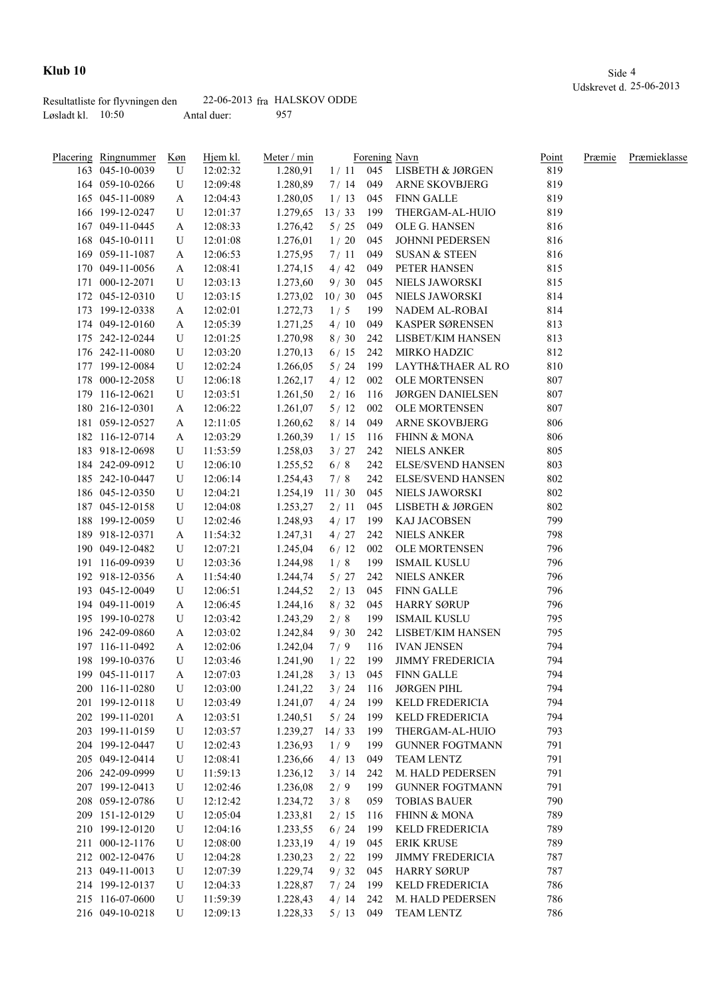|                     | Resultatliste for flyvningen den |             | $22-06-2013$ fra HALSKOV ODDE |
|---------------------|----------------------------------|-------------|-------------------------------|
| Løsladt kl. $10:50$ |                                  | Antal duer: | 957                           |

| <b>Placering Ringnummer</b>        | Køn | Hjem kl. | Meter / min      |            |     | Forening Navn             | Point      | Præmie | Præmieklasse |
|------------------------------------|-----|----------|------------------|------------|-----|---------------------------|------------|--------|--------------|
| 163 045-10-0039                    | U   | 12:02:32 | 1.280,91         |            |     | 1/11 045 LISBETH & JØRGEN | 819        |        |              |
| 164 059-10-0266                    | U   | 12:09:48 | 1.280,89         | 7/14       | 049 | <b>ARNE SKOVBJERG</b>     | 819        |        |              |
| 165 045-11-0089                    | A   | 12:04:43 | 1.280,05         | 1/13       | 045 | <b>FINN GALLE</b>         | 819        |        |              |
| 166 199-12-0247                    | U   | 12:01:37 | 1.279,65         | 13/33      | 199 | THERGAM-AL-HUIO           | 819        |        |              |
| 167 049-11-0445                    | A   | 12:08:33 | 1.276,42         | 5/25       | 049 | OLE G. HANSEN             | 816        |        |              |
| 168 045-10-0111                    | U   | 12:01:08 | 1.276,01         | 1/20       | 045 | JOHNNI PEDERSEN           | 816        |        |              |
| 169 059-11-1087                    | A   | 12:06:53 | 1.275,95         | 7/11       | 049 | SUSAN & STEEN             | 816        |        |              |
| 170 049-11-0056                    | A   | 12:08:41 | 1.274,15         | 4/42       | 049 | PETER HANSEN              | 815        |        |              |
| 171 000-12-2071                    | U   | 12:03:13 | 1.273,60         | 9/30       | 045 | NIELS JAWORSKI            | 815        |        |              |
| 172 045-12-0310                    | U   | 12:03:15 | 1.273,02         | 10/30      | 045 | <b>NIELS JAWORSKI</b>     | 814        |        |              |
| 173 199-12-0338                    | A   | 12:02:01 | 1.272,73         | 1/5        | 199 | NADEM AL-ROBAI            | 814        |        |              |
| 174 049-12-0160                    | A   | 12:05:39 | 1.271,25         | 4/10       | 049 | KASPER SØRENSEN           | 813        |        |              |
| 175 242-12-0244                    | U   | 12:01:25 | 1.270,98         | 8/30       | 242 | LISBET/KIM HANSEN         | 813        |        |              |
| 176 242-11-0080                    | U   | 12:03:20 | 1.270,13         | 6/15       | 242 | MIRKO HADZIC              | 812        |        |              |
| 177 199-12-0084                    | U   | 12:02:24 | 1.266,05         | 5/24       | 199 | LAYTH&THAER AL RO         | 810        |        |              |
| 178 000-12-2058                    | U   | 12:06:18 | 1.262,17         | 4/12       | 002 | OLE MORTENSEN             | 807        |        |              |
| 179 116-12-0621                    | U   | 12:03:51 | 1.261,50         | 2/16       | 116 | <b>JØRGEN DANIELSEN</b>   | 807        |        |              |
| 180 216-12-0301                    | A   | 12:06:22 | 1.261,07         | $5/12$     | 002 | <b>OLE MORTENSEN</b>      | 807        |        |              |
| 181 059-12-0527                    | A   | 12:11:05 | 1.260,62         | 8/14       | 049 | ARNE SKOVBJERG            | 806        |        |              |
| 182 116-12-0714                    | A   | 12:03:29 | 1.260,39         | 1/15       | 116 | <b>FHINN &amp; MONA</b>   | 806        |        |              |
| 183 918-12-0698                    | U   | 11:53:59 | 1.258,03         | 3/27       | 242 | <b>NIELS ANKER</b>        | 805        |        |              |
| 184 242-09-0912                    | U   | 12:06:10 | 1.255,52         | 6/8        | 242 | <b>ELSE/SVEND HANSEN</b>  | 803        |        |              |
| 185 242-10-0447                    | U   | 12:06:14 | 1.254,43         | 7/8        | 242 | <b>ELSE/SVEND HANSEN</b>  | 802        |        |              |
| 186 045-12-0350                    | U   | 12:04:21 | $1.254,19$ 11/30 |            | 045 | NIELS JAWORSKI            | 802        |        |              |
| 187 045-12-0158                    | U   | 12:04:08 | 1.253,27         | 2/11       | 045 | LISBETH & JØRGEN          | 802        |        |              |
| 188 199-12-0059                    | U   | 12:02:46 | 1.248,93         | 4/17       | 199 | KAJ JACOBSEN              | 799        |        |              |
| 189 918-12-0371                    | A   | 11:54:32 | 1.247,31         | 4/27       | 242 | <b>NIELS ANKER</b>        | 798        |        |              |
| 190 049-12-0482                    | U   | 12:07:21 | 1.245,04         | 6/12       | 002 | OLE MORTENSEN             | 796        |        |              |
| 191 116-09-0939                    | U   | 12:03:36 | 1.244,98         | 1/8        | 199 | <b>ISMAIL KUSLU</b>       | 796        |        |              |
| 192 918-12-0356                    | A   | 11:54:40 | 1.244,74         | 5/27       | 242 | <b>NIELS ANKER</b>        | 796        |        |              |
| 193 045-12-0049                    | U   | 12:06:51 | 1.244,52         | 2/13       | 045 | <b>FINN GALLE</b>         | 796        |        |              |
| 194 049-11-0019                    | A   | 12:06:45 | 1.244,16         | 8/32       | 045 | <b>HARRY SØRUP</b>        | 796        |        |              |
| 195 199-10-0278                    | U   | 12:03:42 | 1.243,29         | 2/8        | 199 | <b>ISMAIL KUSLU</b>       | 795        |        |              |
| 196 242-09-0860                    | A   | 12:03:02 | 1.242,84         | 9/30       | 242 | LISBET/KIM HANSEN         | 795        |        |              |
| 197 116-11-0492                    |     |          |                  | 7/9        | 116 | <b>IVAN JENSEN</b>        | 794        |        |              |
|                                    | A   | 12:02:06 | 1.242,04         |            |     | <b>JIMMY FREDERICIA</b>   |            |        |              |
| 198 199-10-0376<br>199 045-11-0117 | U   | 12:03:46 | 1.241,90         | 1/22       | 199 | 3 / 13 045 FINN GALLE     | 794<br>794 |        |              |
|                                    | A   | 12:07:03 | 1.241,28         |            |     |                           |            |        |              |
| 200 116-11-0280                    | U   | 12:03:00 | 1.241,22         | 3/24       | 116 | <b>JØRGEN PIHL</b>        | 794        |        |              |
| 201 199-12-0118<br>202 199-11-0201 | U   | 12:03:49 | 1.241,07         | 4/24       | 199 | KELD FREDERICIA           | 794<br>794 |        |              |
|                                    | A   | 12:03:51 | 1.240,51         | 5/24       | 199 | KELD FREDERICIA           | 793        |        |              |
| 203 199-11-0159                    | U   | 12:03:57 | 1.239,27         | 14/33      | 199 | THERGAM-AL-HUIO           |            |        |              |
| 204 199-12-0447                    | U   | 12:02:43 | 1.236,93         | 1/9        | 199 | <b>GUNNER FOGTMANN</b>    | 791        |        |              |
| 205 049-12-0414                    | U   | 12:08:41 | 1.236,66         | 4/13       | 049 | TEAM LENTZ                | 791        |        |              |
| 206 242-09-0999                    | U   | 11:59:13 | 1.236,12         | 3/14       | 242 | M. HALD PEDERSEN          | 791        |        |              |
| 207 199-12-0413                    | U   | 12:02:46 | 1.236,08         | 2/9        | 199 | <b>GUNNER FOGTMANN</b>    | 791        |        |              |
| 208 059-12-0786                    | U   | 12:12:42 | 1.234,72         | 3/8        | 059 | <b>TOBIAS BAUER</b>       | 790        |        |              |
| 209 151-12-0129                    | U   | 12:05:04 | 1.233,81         | 2/15       | 116 | FHINN & MONA              | 789        |        |              |
| 210 199-12-0120                    | U   | 12:04:16 | 1.233,55         | $6/24$     | 199 | KELD FREDERICIA           | 789        |        |              |
| 211 000-12-1176                    | U   | 12:08:00 | 1.233,19         | 4/19       | 045 | <b>ERIK KRUSE</b>         | 789        |        |              |
| 212 002-12-0476                    | U   | 12:04:28 | 1.230,23         | 2/22       | 199 | <b>JIMMY FREDERICIA</b>   | 787        |        |              |
| 213 049-11-0013                    | U   | 12:07:39 | 1.229,74         | 9/32       | 045 | <b>HARRY SØRUP</b>        | 787        |        |              |
| 214 199-12-0137                    | U   | 12:04:33 | 1.228,87         | 7/24       | 199 | KELD FREDERICIA           | 786        |        |              |
| 215 116-07-0600                    | U   | 11:59:39 | 1.228,43         | 4/14       | 242 | M. HALD PEDERSEN          | 786        |        |              |
| 216 049-10-0218                    | U   | 12:09:13 | 1.228,33         | $5/13$ 049 |     | TEAM LENTZ                | 786        |        |              |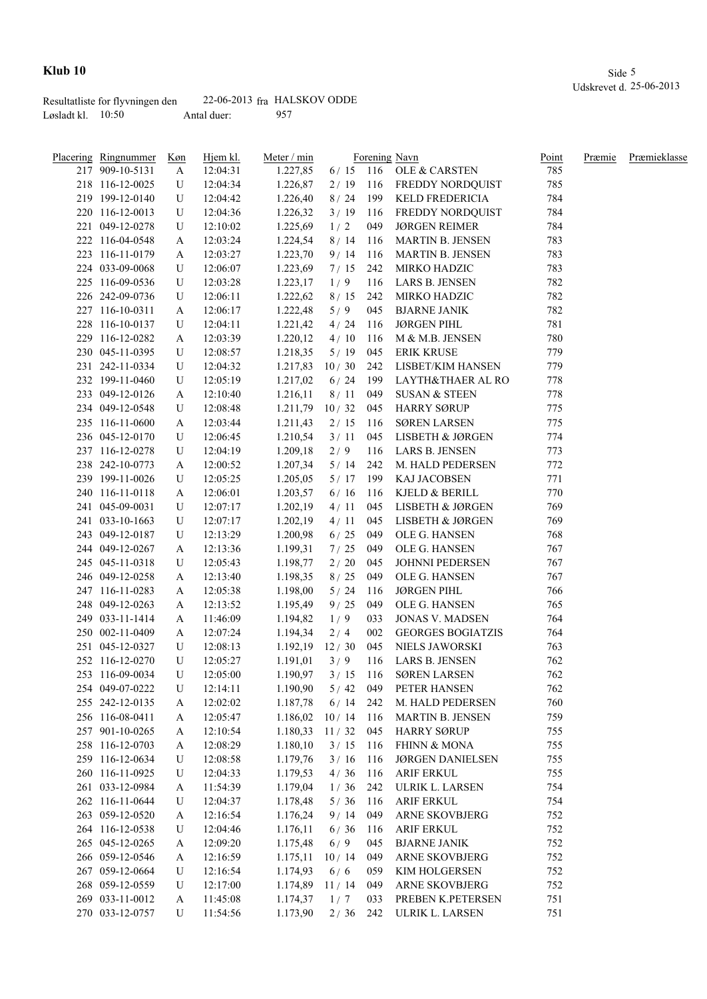|                     | Resultatliste for flyvningen den |             | $22-06-2013$ fra HALSKOV ODDE |
|---------------------|----------------------------------|-------------|-------------------------------|
| Løsladt kl. $10:50$ |                                  | Antal duer: | 957                           |

| <b>Placering Ringnummer</b> | Køn    | Hjem kl.             | Meter / min          |                   |            | Forening Navn              | Point      | Præmie | Præmieklasse |
|-----------------------------|--------|----------------------|----------------------|-------------------|------------|----------------------------|------------|--------|--------------|
| 217 909-10-5131             | A      | 12:04:31             | 1.227,85             |                   |            | 6/15 116 OLE & CARSTEN     | 785        |        |              |
| 218 116-12-0025             | U      | 12:04:34             | 1.226,87             | 2/19              |            | 116 FREDDY NORDQUIST       | 785        |        |              |
| 219 199-12-0140             | U      | 12:04:42             | 1.226,40             | 8/24              | 199        | KELD FREDERICIA            | 784        |        |              |
| 220 116-12-0013             | U      | 12:04:36             | 1.226,32             | 3/19              | 116        | FREDDY NORDQUIST           | 784        |        |              |
| 221 049-12-0278             | U      | 12:10:02             | 1.225,69             | 1/2               | 049        | <b>JØRGEN REIMER</b>       | 784        |        |              |
| 222 116-04-0548             | A      | 12:03:24             | 1.224,54             | 8/14              | 116        | <b>MARTIN B. JENSEN</b>    | 783        |        |              |
| 223 116-11-0179             | A      | 12:03:27             | 1.223,70             | 9/14              | 116        | <b>MARTIN B. JENSEN</b>    | 783        |        |              |
| 224 033-09-0068             | U      | 12:06:07             | 1.223,69             | 7/15              | 242        | MIRKO HADZIC               | 783        |        |              |
| 225 116-09-0536             | U      | 12:03:28             | 1.223,17             | 1/9               | 116        | LARS B. JENSEN             | 782        |        |              |
| 226 242-09-0736             | U      | 12:06:11             | 1.222,62             | 8/15              | 242        | MIRKO HADZIC               | 782        |        |              |
| 227 116-10-0311             | A      | 12:06:17             | 1.222,48             | 5/9               | 045        | <b>BJARNE JANIK</b>        | 782        |        |              |
| 228 116-10-0137             | U      | 12:04:11             | 1.221,42             | 4/24              | 116        | <b>JØRGEN PIHL</b>         | 781        |        |              |
| 229 116-12-0282             | A      | 12:03:39             | 1.220,12             | 4/10              | 116        | M & M.B. JENSEN            | 780        |        |              |
| 230 045-11-0395             | U      | 12:08:57             | 1.218,35             | 5/19              | 045        | <b>ERIK KRUSE</b>          | 779        |        |              |
| 231 242-11-0334             | U      | 12:04:32             | 1.217,83             | 10/30             | 242        | LISBET/KIM HANSEN          | 779        |        |              |
| 232 199-11-0460             | U      | 12:05:19             | 1.217,02             | 6/24              | 199        | LAYTH&THAER AL RO          | 778        |        |              |
| 233 049-12-0126             | A      | 12:10:40             | 1.216,11             | 8/11              | 049        | <b>SUSAN &amp; STEEN</b>   | 778        |        |              |
| 234 049-12-0548             | U      | 12:08:48             | 1.211,79             | 10/32             | 045        | <b>HARRY SØRUP</b>         | 775        |        |              |
| 235 116-11-0600             | A      | 12:03:44             | 1.211,43             | 2/15              | 116        | <b>SØREN LARSEN</b>        | 775        |        |              |
| 236 045-12-0170             | U      | 12:06:45             | 1.210,54             | 3/11              | 045        | LISBETH & JØRGEN           | 774        |        |              |
| 237 116-12-0278             | U      | 12:04:19             | 1.209,18             | 2/9               | 116        | LARS B. JENSEN             | 773        |        |              |
| 238 242-10-0773             | A      | 12:00:52             | 1.207,34             | 5/14              | 242        | M. HALD PEDERSEN           | 772        |        |              |
| 239 199-11-0026             | U      | 12:05:25             | 1.205,05             | 5/17              | 199        | KAJ JACOBSEN               | 771        |        |              |
| 240 116-11-0118             | A      | 12:06:01             | 1.203,57             | 6/16              | 116        | KJELD & BERILL             | 770        |        |              |
| 241 045-09-0031             | U      | 12:07:17             | 1.202,19             | 4/11              | 045        | LISBETH & JØRGEN           | 769        |        |              |
| 241 033-10-1663             | U      | 12:07:17             | 1.202,19             | 4/11              | 045        | LISBETH & JØRGEN           | 769        |        |              |
| 243 049-12-0187             | U      | 12:13:29             | 1.200,98             | 6/25              | 049        | OLE G. HANSEN              | 768        |        |              |
| 244 049-12-0267             | A      | 12:13:36             | 1.199,31             | 7/25              | 049        | OLE G. HANSEN              | 767        |        |              |
| 245 045-11-0318             | U      | 12:05:43             | 1.198,77             | $2/20$            | 045        | <b>JOHNNI PEDERSEN</b>     | 767        |        |              |
| 246 049-12-0258             | A      | 12:13:40             | 1.198,35             | 8/25              | 049        | OLE G. HANSEN              | 767        |        |              |
| 247 116-11-0283             | A      | 12:05:38             | 1.198,00             | 5/24              | 116        | <b>JØRGEN PIHL</b>         | 766        |        |              |
| 248 049-12-0263             | A      | 12:13:52             | 1.195,49             | 9/25              | 049        | OLE G. HANSEN              | 765        |        |              |
| 249 033-11-1414             | A      | 11:46:09             | 1.194,82             | 1/9               | 033        | <b>JONAS V. MADSEN</b>     | 764        |        |              |
| 250 002-11-0409             | A      | 12:07:24             | 1.194,34             | 2/4               | 002        | <b>GEORGES BOGIATZIS</b>   | 764        |        |              |
| 251 045-12-0327             | U      | 12:08:13             | 1.192,19             | 12/30             | 045        | NIELS JAWORSKI             | 763        |        |              |
| 252 116-12-0270             | U      |                      |                      |                   | 116        | LARS B. JENSEN             | 762        |        |              |
| 253 116-09-0034             | U      | 12:05:27<br>12:05:00 | 1.191,01<br>1.190,97 | 3/9<br>$3/15$ 116 |            | <b>SØREN LARSEN</b>        | 762        |        |              |
| 254 049-07-0222             | U      | 12:14:11             | 1.190,90             | $5/42$            | 049        | PETER HANSEN               | 762        |        |              |
| 255 242-12-0135             |        | 12:02:02             | 1.187,78             | 6/14              |            | M. HALD PEDERSEN           | 760        |        |              |
| 256 116-08-0411             | A      | 12:05:47             | 1.186,02             | 10/14             | 242<br>116 | MARTIN B. JENSEN           | 759        |        |              |
| 257 901-10-0265             | A<br>A | 12:10:54             | 1.180,33             | 11/32             | 045        | <b>HARRY SØRUP</b>         | 755        |        |              |
| 258 116-12-0703             |        | 12:08:29             | 1.180,10             | 3/15              | 116        | <b>FHINN &amp; MONA</b>    | 755        |        |              |
| 259 116-12-0634             | A<br>U |                      | 1.179,76             | 3/16              |            | <b>JØRGEN DANIELSEN</b>    | 755        |        |              |
| 260 116-11-0925             |        | 12:08:58             |                      |                   | 116        |                            |            |        |              |
|                             | U      | 12:04:33             | 1.179,53             | 4/36              | 116        | <b>ARIF ERKUL</b>          | 755<br>754 |        |              |
| 261 033-12-0984             | A      | 11:54:39             | 1.179,04             | 1/36              | 242        | ULRIK L. LARSEN            |            |        |              |
| 262 116-11-0644             | U      | 12:04:37             | 1.178,48             | 5/36              | 116        | <b>ARIF ERKUL</b>          | 754        |        |              |
| 263 059-12-0520             | A      | 12:16:54             | 1.176,24             | 9/14              | 049        | ARNE SKOVBJERG             | 752        |        |              |
| 264 116-12-0538             | U      | 12:04:46             | 1.176,11             | 6/36              | 116        | <b>ARIF ERKUL</b>          | 752        |        |              |
| 265 045-12-0265             | A      | 12:09:20             | 1.175,48             | 6/9               | 045        | <b>BJARNE JANIK</b>        | 752        |        |              |
| 266 059-12-0546             | A      | 12:16:59             | 1.175,11             | 10/14             | 049        | ARNE SKOVBJERG             | 752        |        |              |
| 267 059-12-0664             | U      | 12:16:54             | 1.174,93             | 6/6               | 059        | KIM HOLGERSEN              | 752        |        |              |
| 268 059-12-0559             | U      | 12:17:00             | 1.174,89             | 11/14             | 049        | <b>ARNE SKOVBJERG</b>      | 752        |        |              |
| 269 033-11-0012             | A      | 11:45:08             | 1.174,37             | 1/7               | 033        | PREBEN K.PETERSEN          | 751        |        |              |
| 270 033-12-0757             | U      | 11:54:56             | 1.173,90             |                   |            | 2 / 36 242 ULRIK L. LARSEN | 751        |        |              |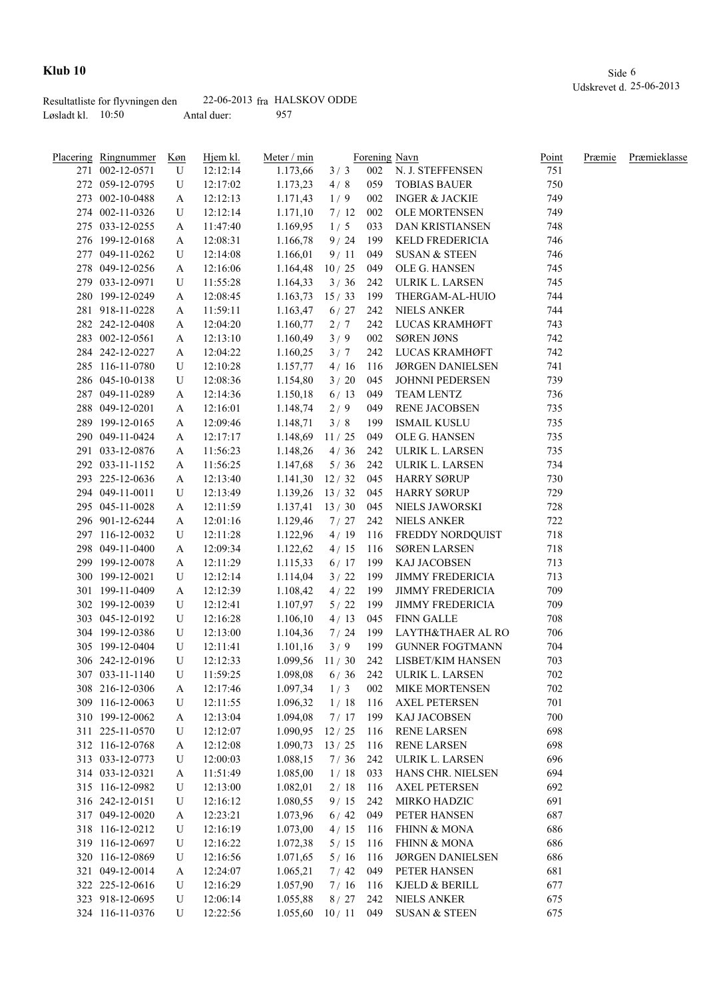|                     | Resultatliste for flyvningen den |             | $22-06-2013$ fra HALSKOV ODDE |
|---------------------|----------------------------------|-------------|-------------------------------|
| Løsladt kl. $10:50$ |                                  | Antal duer: | 957                           |

| Placering Ringnummer | Køn | Hjem kl. | Meter / min            |             |       | Forening Navn             | <b>Point</b> | Præmie | <b>Præmieklasse</b> |
|----------------------|-----|----------|------------------------|-------------|-------|---------------------------|--------------|--------|---------------------|
| 271 002-12-0571      | U   | 12:12:14 | 1.173,66               | 3/3         |       | 002 N. J. STEFFENSEN      | 751          |        |                     |
| 272 059-12-0795      | U   | 12:17:02 | 1.173,23               | 4/8         | 059   | <b>TOBIAS BAUER</b>       | 750          |        |                     |
| 273 002-10-0488      | A   | 12:12:13 | 1.171,43               | 1/9         | 002   | <b>INGER &amp; JACKIE</b> | 749          |        |                     |
| 274 002-11-0326      | U   | 12:12:14 | 1.171,10               | 7/12        | 002   | OLE MORTENSEN             | 749          |        |                     |
| 275 033-12-0255      | A   | 11:47:40 | 1.169,95               | 1/5         | 033   | <b>DAN KRISTIANSEN</b>    | 748          |        |                     |
| 276 199-12-0168      | A   | 12:08:31 | 1.166,78               | 9/24        | 199   | <b>KELD FREDERICIA</b>    | 746          |        |                     |
| 277 049-11-0262      | U   | 12:14:08 | 1.166,01               | 9/11        | 049   | <b>SUSAN &amp; STEEN</b>  | 746          |        |                     |
| 278 049-12-0256      | A   | 12:16:06 | 1.164,48               | 10/25       | 049   | OLE G. HANSEN             | 745          |        |                     |
| 279 033-12-0971      | U   | 11:55:28 | 1.164,33               | 3/36        | 242   | ULRIK L. LARSEN           | 745          |        |                     |
| 280 199-12-0249      | A   | 12:08:45 | 1.163,73               | 15/33       | 199   | THERGAM-AL-HUIO           | 744          |        |                     |
| 281 918-11-0228      | A   | 11:59:11 | 1.163,47               | 6/27        | 242   | <b>NIELS ANKER</b>        | 744          |        |                     |
| 282 242-12-0408      | A   | 12:04:20 | 1.160,77               | 2/7         | 242   | LUCAS KRAMHØFT            | 743          |        |                     |
| 283 002-12-0561      | A   | 12:13:10 | 1.160,49               | 3/9         | 002   | SØREN JØNS                | 742          |        |                     |
| 284 242-12-0227      | A   | 12:04:22 | 1.160,25               | 3/7         | 242   | LUCAS KRAMHØFT            | 742          |        |                     |
| 285 116-11-0780      | U   | 12:10:28 | 1.157,77               | 4/16        | - 116 | <b>JØRGEN DANIELSEN</b>   | 741          |        |                     |
| 286 045-10-0138      | U   | 12:08:36 | 1.154,80               | 3/20        | 045   | JOHNNI PEDERSEN           | 739          |        |                     |
| 287 049-11-0289      | A   | 12:14:36 | 1.150,18               | 6/13        | 049   | TEAM LENTZ                | 736          |        |                     |
| 288 049-12-0201      | A   | 12:16:01 | 1.148,74               | 2/9         | 049   | RENE JACOBSEN             | 735          |        |                     |
| 289 199-12-0165      | A   | 12:09:46 | 1.148,71               | 3/8         | 199   | ISMAIL KUSLU              | 735          |        |                     |
| 290 049-11-0424      | A   | 12:17:17 | 1.148,69               | 11/25       | 049   | OLE G. HANSEN             | 735          |        |                     |
| 291 033-12-0876      | A   | 11:56:23 | 1.148,26               | 4/36        | 242   | ULRIK L. LARSEN           | 735          |        |                     |
| 292 033-11-1152      | A   | 11:56:25 | 1.147,68               | 5/36        | 242   | ULRIK L. LARSEN           | 734          |        |                     |
| 293 225-12-0636      | A   | 12:13:40 | $1.141,30$ 12/32       |             | 045   | HARRY SØRUP               | 730          |        |                     |
| 294 049-11-0011      | U   | 12:13:49 | $1.139,26$ 13/32       |             | 045   | <b>HARRY SØRUP</b>        | 729          |        |                     |
| 295 045-11-0028      | A   | 12:11:59 | $1.137,41$ $13/30$ 045 |             |       | NIELS JAWORSKI            | 728          |        |                     |
| 296 901-12-6244      | A   | 12:01:16 | 1.129,46               | 7/27        | 242   | <b>NIELS ANKER</b>        | 722          |        |                     |
| 297 116-12-0032      | U   | 12:11:28 | 1.122,96               | 4/19        | 116   | FREDDY NORDQUIST          | 718          |        |                     |
| 298 049-11-0400      | A   | 12:09:34 | 1.122,62               | 4/15        | 116   | <b>SØREN LARSEN</b>       | 718          |        |                     |
| 299 199-12-0078      | A   | 12:11:29 | 1.115,33               | $6/17$ 199  |       | KAJ JACOBSEN              | 713          |        |                     |
| 300 199-12-0021      | U   | 12:12:14 | 1.114,04               | 3/22        | 199   | <b>JIMMY FREDERICIA</b>   | 713          |        |                     |
| 301 199-11-0409      | A   | 12:12:39 | 1.108,42               | $4/22$ 199  |       | <b>JIMMY FREDERICIA</b>   | 709          |        |                     |
| 302 199-12-0039      | U   | 12:12:41 | 1.107,97               | $5/22$ 199  |       | <b>JIMMY FREDERICIA</b>   | 709          |        |                     |
| 303 045-12-0192      | U   | 12:16:28 | 1.106,10               | $4/13$ 045  |       | <b>FINN GALLE</b>         | 708          |        |                     |
| 304 199-12-0386      | U   | 12:13:00 | 1.104,36               | $7/24$ 199  |       | LAYTH&THAER AL RO         | 706          |        |                     |
| 305 199-12-0404      | U   | 12:11:41 | 1.101,16               | 3/9         | 199   | <b>GUNNER FOGTMANN</b>    | 704          |        |                     |
| 306 242-12-0196      | U   | 12:12:33 | 1.099,56               | $11/30$ 242 |       | LISBET/KIM HANSEN         | 703          |        |                     |
| 307 033-11-1140      | U   | 11:59:25 | 1.098,08               | $6/36$ 242  |       | ULRIK L. LARSEN           | 702          |        |                     |
| 308 216-12-0306      | A   | 12:17:46 | 1.097,34               | 1/3         | 002   | MIKE MORTENSEN            | 702          |        |                     |
| 309 116-12-0063      | U   | 12:11:55 | 1.096,32               | 1/18        | 116   | <b>AXEL PETERSEN</b>      | 701          |        |                     |
| 310 199-12-0062      | A   | 12:13:04 | 1.094,08               | 7/17        | 199   | KAJ JACOBSEN              | 700          |        |                     |
| 311 225-11-0570      | U   | 12:12:07 | 1.090,95               | 12/25       | 116   | <b>RENE LARSEN</b>        | 698          |        |                     |
| 312 116-12-0768      | A   | 12:12:08 | 1.090,73               | 13/25       | 116   | <b>RENE LARSEN</b>        | 698          |        |                     |
| 313 033-12-0773      | U   | 12:00:03 | 1.088,15               | 7/36        | 242   | ULRIK L. LARSEN           | 696          |        |                     |
| 314 033-12-0321      | A   | 11:51:49 | 1.085,00               | 1/18        | 033   | HANS CHR. NIELSEN         | 694          |        |                     |
| 315 116-12-0982      | U   | 12:13:00 | 1.082,01               | 2/18        | 116   | <b>AXEL PETERSEN</b>      | 692          |        |                     |
| 316 242-12-0151      | U   | 12:16:12 | 1.080,55               | 9/15        | 242   | MIRKO HADZIC              | 691          |        |                     |
| 317 049-12-0020      | A   | 12:23:21 | 1.073,96               | 6/42        | 049   | PETER HANSEN              | 687          |        |                     |
| 318 116-12-0212      | U   | 12:16:19 | 1.073,00               | 4/15        | 116   | <b>FHINN &amp; MONA</b>   | 686          |        |                     |
| 319 116-12-0697      | U   | 12:16:22 | 1.072,38               | 5/15        | 116   | <b>FHINN &amp; MONA</b>   | 686          |        |                     |
| 320 116-12-0869      | U   | 12:16:56 | 1.071,65               | 5/16        | 116   | <b>JØRGEN DANIELSEN</b>   | 686          |        |                     |
| 321 049-12-0014      | A   | 12:24:07 | 1.065,21               | 7/42        | 049   | PETER HANSEN              | 681          |        |                     |
| 322 225-12-0616      | U   | 12:16:29 | 1.057,90               | 7/16        | 116   | KJELD & BERILL            | 677          |        |                     |
| 323 918-12-0695      | U   | 12:06:14 | 1.055,88               | 8/27        | 242   | <b>NIELS ANKER</b>        | 675          |        |                     |
| 324 116-11-0376      | U   | 12:22:56 | 1.055,60               | 10/11       | 049   | <b>SUSAN &amp; STEEN</b>  | 675          |        |                     |
|                      |     |          |                        |             |       |                           |              |        |                     |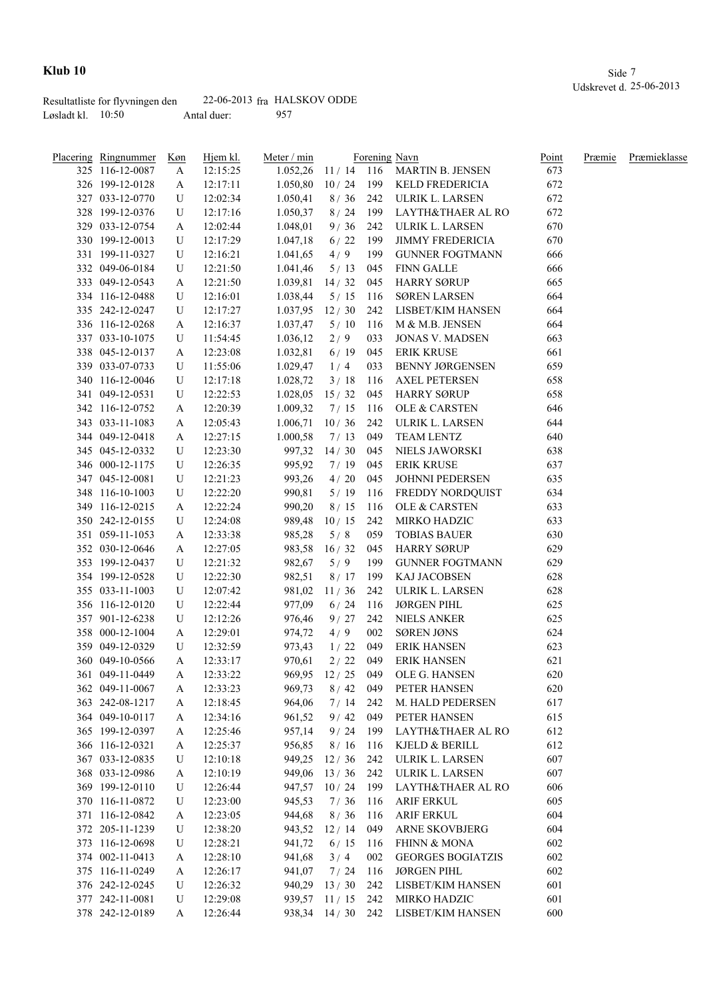|                     | Resultatliste for flyvningen den |             | $22-06-2013$ fra HALSKOV ODDE |
|---------------------|----------------------------------|-------------|-------------------------------|
| Løsladt kl. $10:50$ |                                  | Antal duer: | 957                           |

| Placering Ringnummer | Køn | Hjem kl. | Meter / min |                    |     | Forening Navn                | Point | Præmie | Præmieklasse |
|----------------------|-----|----------|-------------|--------------------|-----|------------------------------|-------|--------|--------------|
| 325 116-12-0087      | A   | 12:15:25 | 1.052,26    |                    |     | 11 / 14 116 MARTIN B. JENSEN | 673   |        |              |
| 326 199-12-0128      | A   | 12:17:11 | 1.050,80    | 10/24              |     | 199 KELD FREDERICIA          | 672   |        |              |
| 327 033-12-0770      | U   | 12:02:34 | 1.050,41    | 8/36               | 242 | ULRIK L. LARSEN              | 672   |        |              |
| 328 199-12-0376      | U   | 12:17:16 | 1.050,37    | 8/24               | 199 | LAYTH&THAER AL RO            | 672   |        |              |
| 329 033-12-0754      | A   | 12:02:44 | 1.048,01    | 9/36               | 242 | ULRIK L. LARSEN              | 670   |        |              |
| 330 199-12-0013      | U   | 12:17:29 | 1.047,18    | 6/22               | 199 | <b>JIMMY FREDERICIA</b>      | 670   |        |              |
| 331 199-11-0327      | U   | 12:16:21 | 1.041,65    | 4/9                | 199 | <b>GUNNER FOGTMANN</b>       | 666   |        |              |
| 332 049-06-0184      | U   | 12:21:50 | 1.041,46    | 5/13               | 045 | <b>FINN GALLE</b>            | 666   |        |              |
| 333 049-12-0543      | A   | 12:21:50 | 1.039,81    | 14/32              | 045 | <b>HARRY SØRUP</b>           | 665   |        |              |
| 334 116-12-0488      | U   | 12:16:01 | 1.038,44    | 5/15               | 116 | <b>SØREN LARSEN</b>          | 664   |        |              |
| 335 242-12-0247      | U   | 12:17:27 | 1.037,95    | 12/30              | 242 | LISBET/KIM HANSEN            | 664   |        |              |
| 336 116-12-0268      | A   | 12:16:37 | 1.037,47    | 5/10               | 116 | M & M.B. JENSEN              | 664   |        |              |
| 337 033-10-1075      | U   | 11:54:45 | 1.036,12    | 2/9                | 033 | <b>JONAS V. MADSEN</b>       | 663   |        |              |
| 338 045-12-0137      | A   | 12:23:08 | 1.032,81    | 6/19               | 045 | <b>ERIK KRUSE</b>            | 661   |        |              |
| 339 033-07-0733      | U   | 11:55:06 | 1.029,47    | 1/4                | 033 | <b>BENNY JØRGENSEN</b>       | 659   |        |              |
| 340 116-12-0046      | U   | 12:17:18 | 1.028,72    | 3/18               | 116 | <b>AXEL PETERSEN</b>         | 658   |        |              |
| 341 049-12-0531      | U   | 12:22:53 | 1.028,05    | 15/32              | 045 | <b>HARRY SØRUP</b>           | 658   |        |              |
| 342 116-12-0752      | A   | 12:20:39 | 1.009,32    | 7/15               | 116 | OLE & CARSTEN                | 646   |        |              |
| 343 033-11-1083      | A   | 12:05:43 | 1.006,71    | 10/36              | 242 | ULRIK L. LARSEN              | 644   |        |              |
| 344 049-12-0418      | A   | 12:27:15 | 1.000,58    | 7/13               | 049 | TEAM LENTZ                   | 640   |        |              |
| 345 045-12-0332      | U   | 12:23:30 | 997,32      | 14/30              | 045 | NIELS JAWORSKI               | 638   |        |              |
| 346 000-12-1175      | U   | 12:26:35 | 995,92      | 7/19               | 045 | <b>ERIK KRUSE</b>            | 637   |        |              |
| 347 045-12-0081      | U   | 12:21:23 | 993,26      | 4/20               | 045 | JOHNNI PEDERSEN              | 635   |        |              |
| 348 116-10-1003      | U   | 12:22:20 | 990,81      | 5/19               | 116 | FREDDY NORDQUIST             | 634   |        |              |
| 349 116-12-0215      | A   | 12:22:24 | 990,20      | 8/15               | 116 | OLE & CARSTEN                | 633   |        |              |
| 350 242-12-0155      | U   | 12:24:08 | 989,48      | 10/15              | 242 | MIRKO HADZIC                 | 633   |        |              |
| 351 059-11-1053      | A   | 12:33:38 | 985,28      | 5/8                | 059 | <b>TOBIAS BAUER</b>          | 630   |        |              |
| 352 030-12-0646      | A   | 12:27:05 | 983,58      | 16/32              | 045 | HARRY SØRUP                  | 629   |        |              |
| 353 199-12-0437      | U   | 12:21:32 | 982,67      | 5/9                | 199 | <b>GUNNER FOGTMANN</b>       | 629   |        |              |
| 354 199-12-0528      | U   | 12:22:30 | 982,51      | 8/17               | 199 | KAJ JACOBSEN                 | 628   |        |              |
| 355 033-11-1003      | U   | 12:07:42 | 981,02      | 11/36              | 242 | ULRIK L. LARSEN              | 628   |        |              |
| 356 116-12-0120      | U   | 12:22:44 | 977,09      | 6/24               | 116 | <b>JØRGEN PIHL</b>           | 625   |        |              |
| 357 901-12-6238      | U   | 12:12:26 | 976,46      | 9/27               | 242 | <b>NIELS ANKER</b>           | 625   |        |              |
| 358 000-12-1004      | A   | 12:29:01 | 974,72      | 4/9                | 002 | SØREN JØNS                   | 624   |        |              |
| 359 049-12-0329      | U   | 12:32:59 | 973,43      | 1/22               | 049 | <b>ERIK HANSEN</b>           | 623   |        |              |
| 360 049-10-0566      | A   | 12:33:17 | 970,61      | 2/22               | 049 | <b>ERIK HANSEN</b>           | 621   |        |              |
| 361 049-11-0449      | A   | 12:33:22 |             | 969,95 12 / 25 049 |     | OLE G. HANSEN                | 620   |        |              |
| 362 049-11-0067      | A   | 12:33:23 | 969,73      | 8/42               | 049 | PETER HANSEN                 | 620   |        |              |
| 363 242-08-1217      | A   | 12:18:45 | 964,06      | 7/14               | 242 | M. HALD PEDERSEN             | 617   |        |              |
| 364 049-10-0117      | A   | 12:34:16 | 961,52      | 9/42               | 049 | PETER HANSEN                 | 615   |        |              |
| 365 199-12-0397      | A   | 12:25:46 | 957,14      | 9/24               | 199 | LAYTH&THAER AL RO            | 612   |        |              |
| 366 116-12-0321      | A   | 12:25:37 | 956,85      | 8/16               | 116 | KJELD & BERILL               | 612   |        |              |
| 367 033-12-0835      | U   | 12:10:18 | 949,25      | 12/36              | 242 | ULRIK L. LARSEN              | 607   |        |              |
| 368 033-12-0986      | A   | 12:10:19 | 949,06      | 13/36              | 242 | ULRIK L. LARSEN              | 607   |        |              |
| 369 199-12-0110      | U   | 12:26:44 | 947,57      | 10/24              | 199 | LAYTH&THAER AL RO            | 606   |        |              |
| 370 116-11-0872      | U   | 12:23:00 | 945,53      | 7/36               | 116 | <b>ARIF ERKUL</b>            | 605   |        |              |
| 371 116-12-0842      | A   | 12:23:05 | 944,68      | 8/36               | 116 | <b>ARIF ERKUL</b>            | 604   |        |              |
| 372 205-11-1239      | U   | 12:38:20 | 943,52      | 12/14              | 049 | ARNE SKOVBJERG               | 604   |        |              |
| 373 116-12-0698      | U   | 12:28:21 | 941,72      | 6/15               | 116 | <b>FHINN &amp; MONA</b>      | 602   |        |              |
| 374 002-11-0413      | A   | 12:28:10 | 941,68      | 3/4                | 002 | <b>GEORGES BOGIATZIS</b>     | 602   |        |              |
| 375 116-11-0249      | A   | 12:26:17 | 941,07      | 7/24               | 116 | <b>JØRGEN PIHL</b>           | 602   |        |              |
| 376 242-12-0245      | U   | 12:26:32 | 940,29      | 13/30              | 242 | LISBET/KIM HANSEN            | 601   |        |              |
| 377 242-11-0081      | U   | 12:29:08 | 939,57      | 11/15              | 242 | MIRKO HADZIC                 | 601   |        |              |
| 378 242-12-0189      | A   | 12:26:44 |             | 938,34 14/30 242   |     | LISBET/KIM HANSEN            | 600   |        |              |
|                      |     |          |             |                    |     |                              |       |        |              |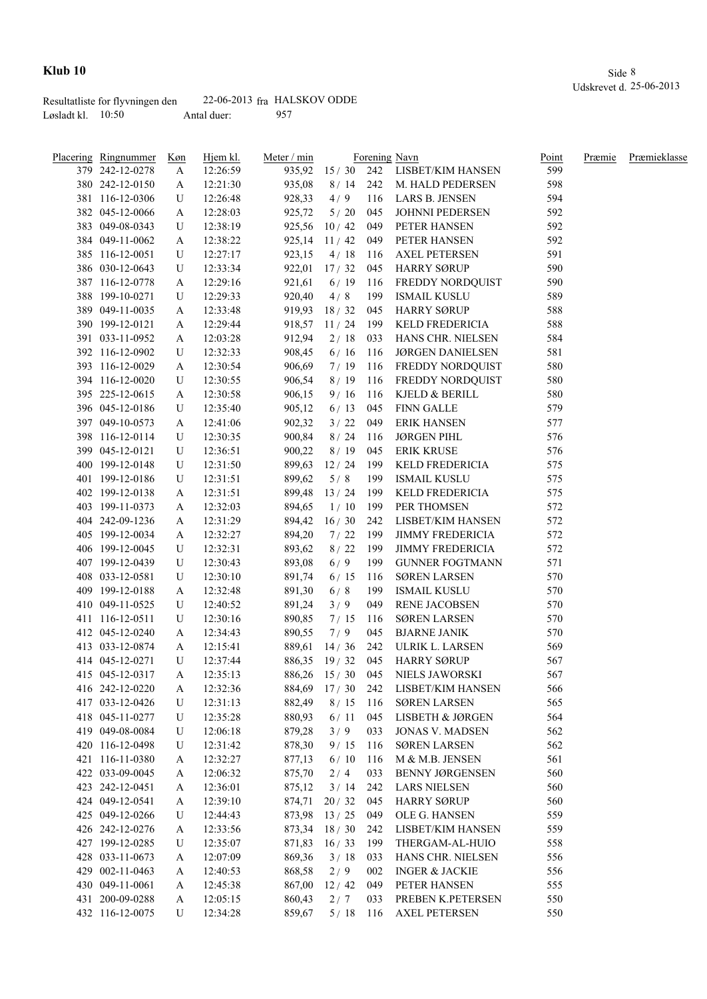|                     | Resultatliste for flyvningen den |             | $22-06-2013$ fra HALSKOV ODDE |
|---------------------|----------------------------------|-------------|-------------------------------|
| Løsladt kl. $10:50$ |                                  | Antal duer: | 957                           |

| <u>Placering Ringnummer</u> | Køn    | Hjem kl. | Meter / min |                |     | Forening Navn                        | Point | Præmie | Præmieklasse |
|-----------------------------|--------|----------|-------------|----------------|-----|--------------------------------------|-------|--------|--------------|
| 379 242-12-0278             | A      | 12:26:59 |             |                |     | 935,92 15 / 30 242 LISBET/KIM HANSEN | 599   |        |              |
| 380 242-12-0150             | A      | 12:21:30 | 935,08      | 8 / 14         |     | 242 M. HALD PEDERSEN                 | 598   |        |              |
| 381 116-12-0306             | U      | 12:26:48 | 928,33      | 4/9            | 116 | LARS B. JENSEN                       | 594   |        |              |
| 382 045-12-0066             | A      | 12:28:03 | 925,72      | 5/20           | 045 | JOHNNI PEDERSEN                      | 592   |        |              |
| 383 049-08-0343             | U      | 12:38:19 | 925,56      | 10/42          | 049 | PETER HANSEN                         | 592   |        |              |
| 384 049-11-0062             | A      | 12:38:22 | 925,14      | 11/42          | 049 | PETER HANSEN                         | 592   |        |              |
| 385 116-12-0051             | U      | 12:27:17 | 923,15      | 4/18           | 116 | <b>AXEL PETERSEN</b>                 | 591   |        |              |
| 386 030-12-0643             | U      | 12:33:34 | 922,01      | 17/32          | 045 | <b>HARRY SØRUP</b>                   | 590   |        |              |
| 387 116-12-0778             | A      | 12:29:16 | 921,61      | 6/19           | 116 | FREDDY NORDQUIST                     | 590   |        |              |
| 388 199-10-0271             | U      | 12:29:33 | 920,40      | 4/8            | 199 | <b>ISMAIL KUSLU</b>                  | 589   |        |              |
| 389 049-11-0035             | A      | 12:33:48 | 919,93      | 18/32          | 045 | <b>HARRY SØRUP</b>                   | 588   |        |              |
| 390 199-12-0121             | A      | 12:29:44 | 918,57      | 11/24          | 199 | KELD FREDERICIA                      | 588   |        |              |
| 391 033-11-0952             | A      | 12:03:28 | 912,94      | 2/18           | 033 | HANS CHR. NIELSEN                    | 584   |        |              |
| 392 116-12-0902             | U      | 12:32:33 | 908,45      | 6/16           | 116 | <b>JØRGEN DANIELSEN</b>              | 581   |        |              |
| 393 116-12-0029             | A      | 12:30:54 | 906,69      | 7/19           | 116 | FREDDY NORDQUIST                     | 580   |        |              |
| 394 116-12-0020             | U      | 12:30:55 | 906,54      | 8/19           | 116 | FREDDY NORDQUIST                     | 580   |        |              |
| 395 225-12-0615             | A      | 12:30:58 | 906,15      | 9/16           | 116 | KJELD & BERILL                       | 580   |        |              |
| 396 045-12-0186             | U      | 12:35:40 | 905,12      | 6/13           | 045 | FINN GALLE                           | 579   |        |              |
| 397 049-10-0573             | A      | 12:41:06 | 902,32      | 3/22           | 049 | <b>ERIK HANSEN</b>                   | 577   |        |              |
| 398 116-12-0114             | U      | 12:30:35 | 900,84      | 8/24           | 116 | <b>JØRGEN PIHL</b>                   | 576   |        |              |
| 399 045-12-0121             | U      | 12:36:51 | 900,22      | 8/19           | 045 | <b>ERIK KRUSE</b>                    | 576   |        |              |
| 400 199-12-0148             | U      | 12:31:50 |             | 899,63 12/24   | 199 | <b>KELD FREDERICIA</b>               | 575   |        |              |
| 401 199-12-0186             | U      | 12:31:51 | 899,62      | 5/8            | 199 | <b>ISMAIL KUSLU</b>                  | 575   |        |              |
| 402 199-12-0138             | A      | 12:31:51 |             | 899,48 13 / 24 | 199 | KELD FREDERICIA                      | 575   |        |              |
| 403 199-11-0373             | A      | 12:32:03 | 894,65      | 1/10           | 199 | PER THOMSEN                          | 572   |        |              |
| 404 242-09-1236             | A      | 12:31:29 | 894,42      | 16/30          | 242 | LISBET/KIM HANSEN                    | 572   |        |              |
| 405 199-12-0034             |        | 12:32:27 | 894,20      | 7/22           | 199 | <b>JIMMY FREDERICIA</b>              | 572   |        |              |
| 406 199-12-0045             | A<br>U | 12:32:31 | 893,62      | 8/22           | 199 | <b>JIMMY FREDERICIA</b>              | 572   |        |              |
| 407 199-12-0439             | U      | 12:30:43 | 893,08      | 6/9            | 199 | <b>GUNNER FOGTMANN</b>               | 571   |        |              |
|                             |        |          |             |                |     |                                      |       |        |              |
| 408 033-12-0581             | U      | 12:30:10 | 891,74      | 6/15           | 116 | <b>SØREN LARSEN</b>                  | 570   |        |              |
| 409 199-12-0188             | A      | 12:32:48 | 891,30      | 6/8            | 199 | <b>ISMAIL KUSLU</b>                  | 570   |        |              |
| 410 049-11-0525             | U      | 12:40:52 | 891,24      | 3/9            | 049 | RENE JACOBSEN                        | 570   |        |              |
| 411 116-12-0511             | U      | 12:30:16 | 890,85      | 7/15           | 116 | <b>SØREN LARSEN</b>                  | 570   |        |              |
| 412 045-12-0240             | A      | 12:34:43 | 890,55      | 7/9            | 045 | <b>BJARNE JANIK</b>                  | 570   |        |              |
| 413 033-12-0874             | A      | 12:15:41 | 889,61      | $14/36$ 242    |     | ULRIK L. LARSEN                      | 569   |        |              |
| 414 045-12-0271             | U      | 12:37:44 |             | 886,35 19/32   | 045 | <b>HARRY SØRUP</b>                   | 567   |        |              |
| 415 045-12-0317             | A      | 12:35:13 |             |                |     | 886,26 15 / 30 045 NIELS JAWORSKI    | 567   |        |              |
| 416 242-12-0220             | A      | 12:32:36 | 884,69      | 17/30          | 242 | LISBET/KIM HANSEN                    | 566   |        |              |
| 417 033-12-0426             | U      | 12:31:13 | 882,49      | 8/15           | 116 | <b>SØREN LARSEN</b>                  | 565   |        |              |
| 418 045-11-0277             | U      | 12:35:28 | 880,93      | 6/11           | 045 | LISBETH & JØRGEN                     | 564   |        |              |
| 419 049-08-0084             | U      | 12:06:18 | 879,28      | 3/9            | 033 | <b>JONAS V. MADSEN</b>               | 562   |        |              |
| 420 116-12-0498             | U      | 12:31:42 | 878,30      | 9/15           | 116 | <b>SØREN LARSEN</b>                  | 562   |        |              |
| 421 116-11-0380             | A      | 12:32:27 | 877,13      | 6/10           | 116 | M & M.B. JENSEN                      | 561   |        |              |
| 422 033-09-0045             | A      | 12:06:32 | 875,70      | 2/4            | 033 | <b>BENNY JØRGENSEN</b>               | 560   |        |              |
| 423 242-12-0451             | A      | 12:36:01 | 875,12      | 3/14           | 242 | <b>LARS NIELSEN</b>                  | 560   |        |              |
| 424 049-12-0541             | A      | 12:39:10 | 874,71      | 20/32          | 045 | <b>HARRY SØRUP</b>                   | 560   |        |              |
| 425 049-12-0266             | U      | 12:44:43 |             | 873,98 13/25   | 049 | OLE G. HANSEN                        | 559   |        |              |
| 426 242-12-0276             | A      | 12:33:56 | 873,34      | 18/30          | 242 | LISBET/KIM HANSEN                    | 559   |        |              |
| 427 199-12-0285             | U      | 12:35:07 | 871,83      | 16/33          | 199 | THERGAM-AL-HUIO                      | 558   |        |              |
| 428 033-11-0673             | A      | 12:07:09 | 869,36      | 3/18           | 033 | HANS CHR. NIELSEN                    | 556   |        |              |
| 429 002-11-0463             | A      | 12:40:53 | 868,58      | 2/9            | 002 | <b>INGER &amp; JACKIE</b>            | 556   |        |              |
| 430 049-11-0061             | A      | 12:45:38 | 867,00      | 12/42          | 049 | PETER HANSEN                         | 555   |        |              |
| 431 200-09-0288             | A      | 12:05:15 | 860,43      | 2/7            | 033 | PREBEN K.PETERSEN                    | 550   |        |              |
| 432 116-12-0075             | U      | 12:34:28 | 859,67      | 5/18           |     | 116 AXEL PETERSEN                    | 550   |        |              |
|                             |        |          |             |                |     |                                      |       |        |              |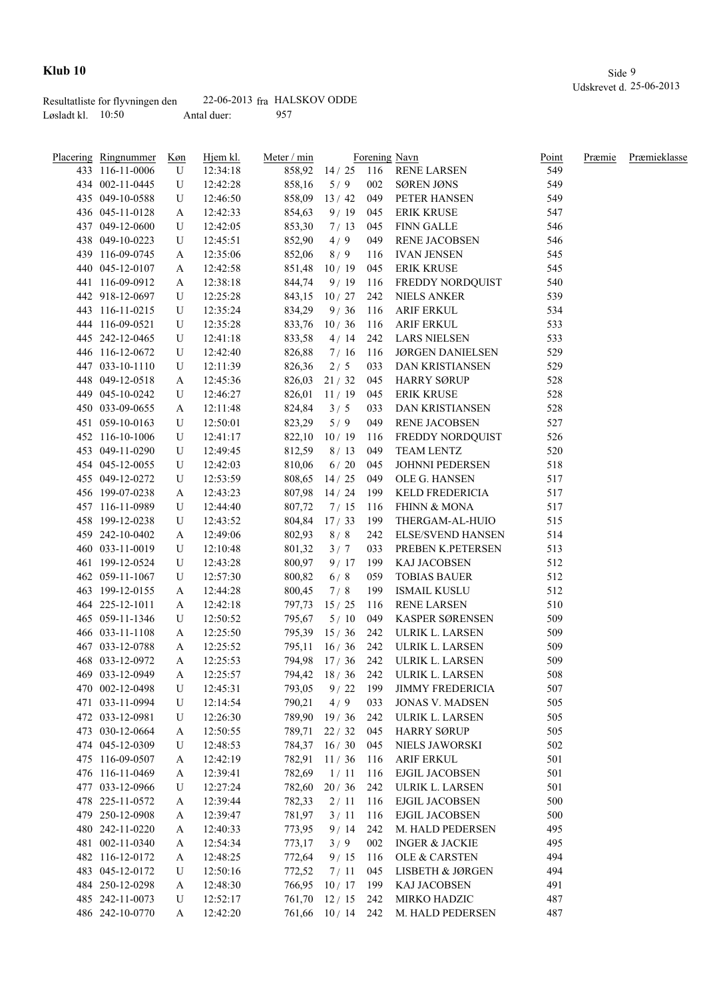|                     | Resultatliste for flyvningen den |             | $22-06-2013$ fra HALSKOV ODDE |
|---------------------|----------------------------------|-------------|-------------------------------|
| Løsladt kl. $10:50$ |                                  | Antal duer: | 957                           |

| Placering Ringnummer | Køn       | Hjem kl. | Meter / min |                  |       | Forening Navn                 | <u>Point</u> | Præmie | Præmieklasse |
|----------------------|-----------|----------|-------------|------------------|-------|-------------------------------|--------------|--------|--------------|
| 433 116-11-0006      | U         | 12:34:18 | 858,92      |                  |       | 14 / 25    116    RENE LARSEN | 549          |        |              |
| 434 002-11-0445      | U         | 12:42:28 | 858,16      | 5/9              | 002   | <b>SØREN JØNS</b>             | 549          |        |              |
| 435 049-10-0588      | U         | 12:46:50 | 858,09      | 13/42            | 049   | PETER HANSEN                  | 549          |        |              |
| 436 045-11-0128      | A         | 12:42:33 | 854,63      | 9/19             | 045   | <b>ERIK KRUSE</b>             | 547          |        |              |
| 437 049-12-0600      | U         | 12:42:05 | 853,30      | 7/13             | 045   | <b>FINN GALLE</b>             | 546          |        |              |
| 438 049-10-0223      | U         | 12:45:51 | 852,90      | 4/9              | 049   | RENE JACOBSEN                 | 546          |        |              |
| 439 116-09-0745      | A         | 12:35:06 | 852,06      | 8/9              | 116   | <b>IVAN JENSEN</b>            | 545          |        |              |
| 440 045-12-0107      | A         | 12:42:58 | 851,48      | 10/19            | 045   | <b>ERIK KRUSE</b>             | 545          |        |              |
| 441 116-09-0912      | A         | 12:38:18 | 844,74      | 9/19             | 116   | FREDDY NORDQUIST              | 540          |        |              |
| 442 918-12-0697      | U         | 12:25:28 | 843,15      | 10/27            | 242   | <b>NIELS ANKER</b>            | 539          |        |              |
| 443 116-11-0215      | U         | 12:35:24 | 834,29      | 9/36             | 116   | <b>ARIF ERKUL</b>             | 534          |        |              |
| 444 116-09-0521      | U         | 12:35:28 | 833,76      | 10/36            | 116   | <b>ARIF ERKUL</b>             | 533          |        |              |
| 445 242-12-0465      | U         | 12:41:18 | 833,58      | 4/14             | 242   | <b>LARS NIELSEN</b>           | 533          |        |              |
| 446 116-12-0672      | U         | 12:42:40 | 826,88      | 7/16             | 116   | <b>JØRGEN DANIELSEN</b>       | 529          |        |              |
| 447 033-10-1110      | U         | 12:11:39 | 826,36      | 2/5              | 033   | DAN KRISTIANSEN               | 529          |        |              |
| 448 049-12-0518      | A         | 12:45:36 | 826,03      | 21/32            | 045   | <b>HARRY SØRUP</b>            | 528          |        |              |
| 449 045-10-0242      | U         | 12:46:27 | 826,01      | 11/19            | 045   | <b>ERIK KRUSE</b>             | 528          |        |              |
| 450 033-09-0655      | A         | 12:11:48 | 824,84      | 3/5              | 033   | DAN KRISTIANSEN               | 528          |        |              |
| 451 059-10-0163      | U         | 12:50:01 | 823,29      | 5/9              | 049   | <b>RENE JACOBSEN</b>          | 527          |        |              |
| 452 116-10-1006      | U         | 12:41:17 | 822,10      | 10/19            | 116   | FREDDY NORDQUIST              | 526          |        |              |
| 453 049-11-0290      | U         | 12:49:45 | 812,59      | 8/13             | 049   | TEAM LENTZ                    | 520          |        |              |
| 454 045-12-0055      | U         | 12:42:03 | 810,06      | 6/20             | 045   | <b>JOHNNI PEDERSEN</b>        | 518          |        |              |
| 455 049-12-0272      | U         | 12:53:59 | 808,65      | 14/25            | 049   | OLE G. HANSEN                 | 517          |        |              |
| 456 199-07-0238      | A         | 12:43:23 | 807,98      | 14/24            | 199   | <b>KELD FREDERICIA</b>        | 517          |        |              |
| 457 116-11-0989      | U         | 12:44:40 | 807,72      | 7/15             | 116   | <b>FHINN &amp; MONA</b>       | 517          |        |              |
| 458 199-12-0238      | U         | 12:43:52 | 804,84      | 17/33            | 199   | THERGAM-AL-HUIO               | 515          |        |              |
| 459 242-10-0402      | A         | 12:49:06 | 802,93      | 8/8              | 242   | <b>ELSE/SVEND HANSEN</b>      | 514          |        |              |
| 460 033-11-0019      | U         | 12:10:48 | 801,32      | 3/7              | 033   | PREBEN K.PETERSEN             | 513          |        |              |
| 461 199-12-0524      | U         | 12:43:28 | 800,97      | 9/17             | 199   | KAJ JACOBSEN                  | 512          |        |              |
| 462 059-11-1067      | U         | 12:57:30 | 800,82      | 6/8              | 059   | <b>TOBIAS BAUER</b>           | 512          |        |              |
| 463 199-12-0155      | A         | 12:44:28 | 800,45      | 7/8              | 199   | <b>ISMAIL KUSLU</b>           | 512          |        |              |
| 464 225-12-1011      | A         | 12:42:18 | 797,73      | 15/25            | - 116 | <b>RENE LARSEN</b>            | 510          |        |              |
| 465 059-11-1346      | U         | 12:50:52 | 795,67      | 5/10             | 049   | KASPER SØRENSEN               | 509          |        |              |
| 466 033-11-1108      | A         | 12:25:50 |             | 795,39 15 / 36   | 242   | ULRIK L. LARSEN               | 509          |        |              |
| 467 033-12-0788      | A         | 12:25:52 | 795,11      | 16/36            | 242   | ULRIK L. LARSEN               | 509          |        |              |
| 468 033-12-0972      | A         | 12:25:53 |             | 794,98 17/36 242 |       | ULRIK L. LARSEN               | 509          |        |              |
| 469 033-12-0949      | A         | 12:25:57 |             | 794,42 18/36 242 |       | ULRIK L. LARSEN               | 508          |        |              |
| 470 002-12-0498      | ${\bf U}$ | 12:45:31 | 793,05      | 9/22             | 199   | <b>JIMMY FREDERICIA</b>       | 507          |        |              |
| 471 033-11-0994      | U         | 12:14:54 | 790,21      | 4/9              | 033   | <b>JONAS V. MADSEN</b>        | 505          |        |              |
| 472 033-12-0981      | U         | 12:26:30 | 789,90      | 19/36            | 242   | ULRIK L. LARSEN               | 505          |        |              |
| 473 030-12-0664      | A         | 12:50:55 | 789,71      | 22/32            | 045   | <b>HARRY SØRUP</b>            | 505          |        |              |
| 474 045-12-0309      | U         | 12:48:53 | 784,37      | 16/30            | 045   | NIELS JAWORSKI                | 502          |        |              |
| 475 116-09-0507      | A         | 12:42:19 | 782,91      | 11/36            | 116   | <b>ARIF ERKUL</b>             | 501          |        |              |
| 476 116-11-0469      | A         | 12:39:41 | 782,69      | 1/11             | 116   | <b>EJGIL JACOBSEN</b>         | 501          |        |              |
| 477 033-12-0966      | U         | 12:27:24 | 782,60      | 20/36            | 242   | ULRIK L. LARSEN               | 501          |        |              |
| 478 225-11-0572      | A         | 12:39:44 | 782,33      | 2/11             | 116   | <b>EJGIL JACOBSEN</b>         | 500          |        |              |
| 479 250-12-0908      | A         | 12:39:47 | 781,97      | 3/11             | 116   | EJGIL JACOBSEN                | 500          |        |              |
| 480 242-11-0220      | A         | 12:40:33 | 773,95      | 9/14             | 242   | M. HALD PEDERSEN              | 495          |        |              |
| 481 002-11-0340      | A         | 12:54:34 | 773,17      | 3/9              | 002   | <b>INGER &amp; JACKIE</b>     | 495          |        |              |
| 482 116-12-0172      | A         | 12:48:25 | 772,64      | 9/15             | -116  | OLE & CARSTEN                 | 494          |        |              |
| 483 045-12-0172      | U         | 12:50:16 | 772,52      | 7/11             | 045   | LISBETH & JØRGEN              | 494          |        |              |
| 484 250-12-0298      | A         | 12:48:30 | 766,95      | 10/17            | 199   | KAJ JACOBSEN                  | 491          |        |              |
| 485 242-11-0073      | U         | 12:52:17 | 761,70      | 12/15            | 242   | MIRKO HADZIC                  | 487          |        |              |
| 486 242-10-0770      | A         | 12:42:20 |             | 761,66 10/14 242 |       | M. HALD PEDERSEN              | 487          |        |              |
|                      |           |          |             |                  |       |                               |              |        |              |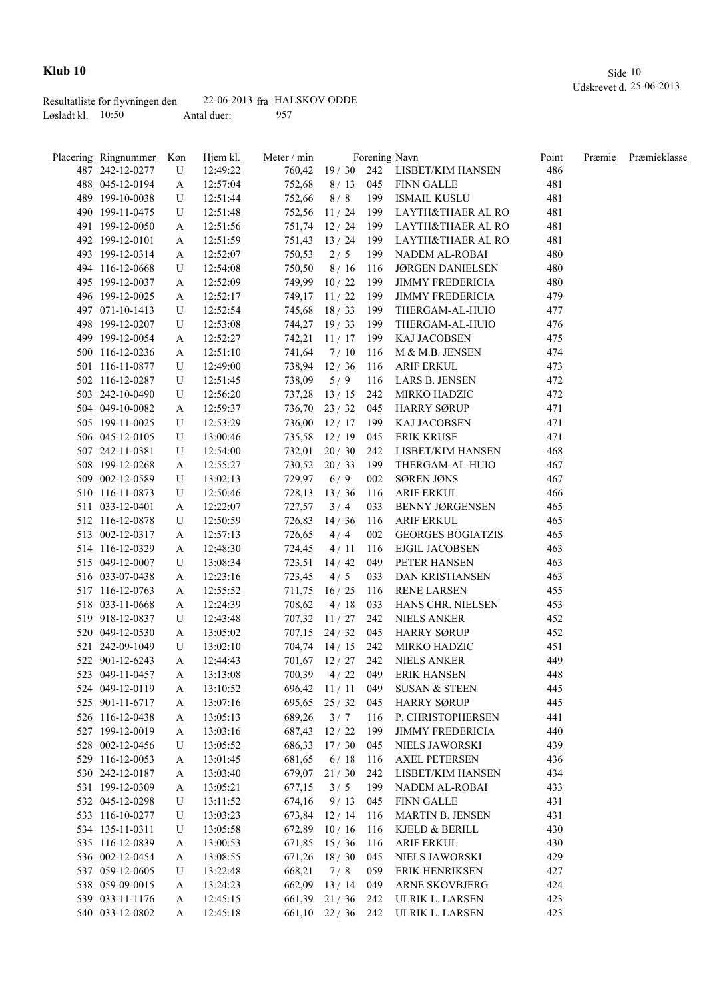|                     | Resultatliste for flyvningen den |             | $22-06-2013$ fra HALSKOV ODDE |
|---------------------|----------------------------------|-------------|-------------------------------|
| Løsladt kl. $10:50$ |                                  | Antal duer: | 957                           |

| Placering Ringnummer | Køn         | Hjem kl. | Meter / min |                      |       | Forening Navn                        | Point | Præmie | Præmieklasse |
|----------------------|-------------|----------|-------------|----------------------|-------|--------------------------------------|-------|--------|--------------|
| 487 242-12-0277      | U           | 12:49:22 |             |                      |       | 760,42 19 / 30 242 LISBET/KIM HANSEN | 486   |        |              |
| 488 045-12-0194      | A           | 12:57:04 | 752,68      |                      |       | 8 / 13 045 FINN GALLE                | 481   |        |              |
| 489 199-10-0038      | U           | 12:51:44 | 752,66      | 8/8                  | 199   | ISMAIL KUSLU                         | 481   |        |              |
| 490 199-11-0475      | U           | 12:51:48 |             | 752,56 11/24         | 199   | LAYTH&THAER AL RO                    | 481   |        |              |
| 491 199-12-0050      | A           | 12:51:56 |             | 751,74 12 / 24       | 199   | LAYTH&THAER AL RO                    | 481   |        |              |
| 492 199-12-0101      | A           | 12:51:59 |             | 751,43 13/24         | 199   | LAYTH&THAER AL RO                    | 481   |        |              |
| 493 199-12-0314      | A           | 12:52:07 | 750,53      | 2/5                  | 199   | NADEM AL-ROBAI                       | 480   |        |              |
| 494 116-12-0668      | U           | 12:54:08 | 750,50      | 8/16                 | 116   | <b>JØRGEN DANIELSEN</b>              | 480   |        |              |
| 495 199-12-0037      | A           | 12:52:09 |             | 749,99 10 / 22       | 199   | <b>JIMMY FREDERICIA</b>              | 480   |        |              |
| 496 199-12-0025      | A           | 12:52:17 |             | 749,17 11 / 22       | 199   | <b>JIMMY FREDERICIA</b>              | 479   |        |              |
| 497 071-10-1413      | U           | 12:52:54 |             | 745,68 18 / 33       | 199   | THERGAM-AL-HUIO                      | 477   |        |              |
| 498 199-12-0207      | U           | 12:53:08 |             | 744,27 19/33         | 199   | THERGAM-AL-HUIO                      | 476   |        |              |
| 499 199-12-0054      | A           | 12:52:27 |             | 742,21 11/17         | 199   | KAJ JACOBSEN                         | 475   |        |              |
| 500 116-12-0236      | A           | 12:51:10 | 741,64      | 7/10                 | 116   | M & M.B. JENSEN                      | 474   |        |              |
| 501 116-11-0877      | U           | 12:49:00 |             | 738,94 12/36         | 116   | ARIF ERKUL                           | 473   |        |              |
| 502 116-12-0287      | U           | 12:51:45 | 738,09      | 5/9                  | 116   | LARS B. JENSEN                       | 472   |        |              |
| 503 242-10-0490      | U           | 12:56:20 |             | $737,28$ 13/15       | 242   | MIRKO HADZIC                         | 472   |        |              |
| 504 049-10-0082      | A           | 12:59:37 |             |                      |       | 736,70 23 / 32 045 HARRY SØRUP       | 471   |        |              |
| 505 199-11-0025      | U           | 12:53:29 |             | 736,00 12/17         |       | 199 KAJ JACOBSEN                     | 471   |        |              |
| 506 045-12-0105      | U           | 13:00:46 |             | 735,58 12/19         | 045   | <b>ERIK KRUSE</b>                    | 471   |        |              |
| 507 242-11-0381      | U           | 12:54:00 |             | $732,01$ 20 / 30     |       | 242 LISBET/KIM HANSEN                | 468   |        |              |
| 508 199-12-0268      | A           | 12:55:27 |             | 730,52 20 / 33       | 199   | THERGAM-AL-HUIO                      | 467   |        |              |
| 509 002-12-0589      | U           | 13:02:13 | 729,97      | 6/9                  | 002   | SØREN JØNS                           | 467   |        |              |
| 510 116-11-0873      | U           | 12:50:46 |             | $728,13$ $13/36$     | 116   | ARIF ERKUL                           | 466   |        |              |
| 511 033-12-0401      | A           | 12:22:07 | 727,57      | 3/4                  | 033   | <b>BENNY JØRGENSEN</b>               | 465   |        |              |
| 512 116-12-0878      | U           | 12:50:59 | 726,83      | 14/36                | 116   | ARIF ERKUL                           | 465   |        |              |
| 513 002-12-0317      | A           | 12:57:13 | 726,65      | 4/4                  | 002   | <b>GEORGES BOGIATZIS</b>             | 465   |        |              |
| 514 116-12-0329      | A           | 12:48:30 | 724,45      | 4/11                 | 116   | <b>EJGIL JACOBSEN</b>                | 463   |        |              |
| 515 049-12-0007      | U           | 13:08:34 |             | 723,51 14/42         | 049   | PETER HANSEN                         | 463   |        |              |
| 516 033-07-0438      | A           | 12:23:16 | 723,45      | 4/5                  | 033   | <b>DAN KRISTIANSEN</b>               | 463   |        |              |
| 517 116-12-0763      | A           | 12:55:52 |             | 711,75 16/25         | - 116 | <b>RENE LARSEN</b>                   | 455   |        |              |
| 518 033-11-0668      | A           | 12:24:39 | 708,62      | $4/18$ 033           |       | HANS CHR. NIELSEN                    | 453   |        |              |
| 519 918-12-0837      | U           | 12:43:48 |             | 707,32 11/27 242     |       | <b>NIELS ANKER</b>                   | 452   |        |              |
| 520 049-12-0530      | A           | 13:05:02 |             | 707,15 24 / 32 045   |       | <b>HARRY SØRUP</b>                   | 452   |        |              |
| 521 242-09-1049      | U           | 13:02:10 |             | 704,74 14/15 242     |       | MIRKO HADZIC                         | 451   |        |              |
| 522 901-12-6243      | A           | 12:44:43 |             | $701,67$ $12/27$ 242 |       | NIELS ANKER                          | 449   |        |              |
| 523 049-11-0457      | A           | 13:13:08 |             | 700,39 4/22 049      |       | <b>ERIK HANSEN</b>                   | 448   |        |              |
| 524 049-12-0119      | $\mathbf A$ | 13:10:52 |             | 696,42 11/11         | 049   | SUSAN & STEEN                        | 445   |        |              |
| 525 901-11-6717      | A           | 13:07:16 | 695,65      | 25/32                | 045   | <b>HARRY SØRUP</b>                   | 445   |        |              |
| 526 116-12-0438      | A           | 13:05:13 | 689,26      | 3/7                  | 116   | P. CHRISTOPHERSEN                    | 441   |        |              |
| 527 199-12-0019      | A           | 13:03:16 | 687,43      | 12/22                | 199   | <b>JIMMY FREDERICIA</b>              | 440   |        |              |
| 528 002-12-0456      | U           | 13:05:52 | 686,33      | 17/30                | 045   | NIELS JAWORSKI                       | 439   |        |              |
| 529 116-12-0053      | A           | 13:01:45 | 681,65      | 6/18                 | 116   | <b>AXEL PETERSEN</b>                 | 436   |        |              |
| 530 242-12-0187      | A           | 13:03:40 | 679,07      | 21/30                | 242   | LISBET/KIM HANSEN                    | 434   |        |              |
| 531 199-12-0309      | A           | 13:05:21 | 677,15      | 3/5                  | 199   | NADEM AL-ROBAI                       | 433   |        |              |
| 532 045-12-0298      | U           | 13:11:52 | 674,16      | 9/13                 | 045   | <b>FINN GALLE</b>                    | 431   |        |              |
| 533 116-10-0277      | U           | 13:03:23 |             | 673,84 12/14         | 116   | <b>MARTIN B. JENSEN</b>              | 431   |        |              |
| 534 135-11-0311      | U           | 13:05:58 |             | 672,89 10/16         | 116   | KJELD & BERILL                       | 430   |        |              |
| 535 116-12-0839      | A           | 13:00:53 |             | 671,85 15 / 36       | 116   | <b>ARIF ERKUL</b>                    | 430   |        |              |
| 536 002-12-0454      | A           | 13:08:55 |             | $671,26$ 18 / 30     | 045   | NIELS JAWORSKI                       | 429   |        |              |
| 537 059-12-0605      | U           | 13:22:48 | 668,21      | 7/8                  | 059   | <b>ERIK HENRIKSEN</b>                | 427   |        |              |
| 538 059-09-0015      | A           | 13:24:23 |             | 662,09 13/14         | 049   | ARNE SKOVBJERG                       | 424   |        |              |
| 539 033-11-1176      | A           | 12:45:15 |             | $661,39$ 21/36       | 242   | ULRIK L. LARSEN                      | 423   |        |              |
| 540 033-12-0802      | A           | 12:45:18 |             |                      |       | 661,10 22 / 36 242 ULRIK L. LARSEN   | 423   |        |              |
|                      |             |          |             |                      |       |                                      |       |        |              |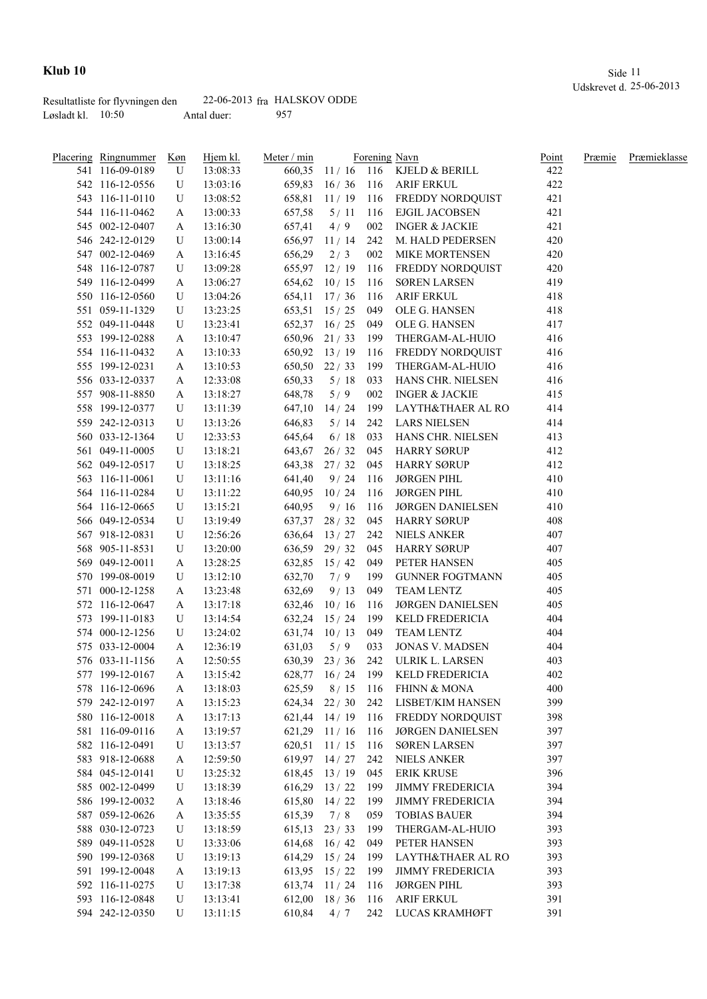|                     | Resultatliste for flyvningen den |             | $22-06-2013$ fra HALSKOV ODDE |
|---------------------|----------------------------------|-------------|-------------------------------|
| Løsladt kl. $10:50$ |                                  | Antal duer: | 957                           |

| Placering Ringnummer | <u>Køn</u> | Hjem kl. | Meter / min |                  |       | Forening Navn                      | Point | Præmie | Præmieklasse |
|----------------------|------------|----------|-------------|------------------|-------|------------------------------------|-------|--------|--------------|
| 541 116-09-0189      | U          | 13:08:33 |             |                  |       | 660,35 11 / 16 116 KJELD & BERILL  | 422   |        |              |
| 542 116-12-0556      | U          | 13:03:16 | 659,83      |                  |       | 16 / 36   116   ARIF ERKUL         | 422   |        |              |
| 543 116-11-0110      | U          | 13:08:52 | 658,81      |                  |       | 11 / 19 116 FREDDY NORDQUIST       | 421   |        |              |
| 544 116-11-0462      | A          | 13:00:33 | 657,58      | $5/11$ 116       |       | EJGIL JACOBSEN                     | 421   |        |              |
| 545 002-12-0407      | A          | 13:16:30 | 657,41      | 4/9              | 002   | <b>INGER &amp; JACKIE</b>          | 421   |        |              |
| 546 242-12-0129      | U          | 13:00:14 |             | 656,97 11/14     | 242   | M. HALD PEDERSEN                   | 420   |        |              |
| 547 002-12-0469      | A          | 13:16:45 | 656,29      | 2/3              | 002   | <b>MIKE MORTENSEN</b>              | 420   |        |              |
| 548 116-12-0787      | U          | 13:09:28 |             | 655,97 12/19     | - 116 | FREDDY NORDQUIST                   | 420   |        |              |
| 549 116-12-0499      | A          | 13:06:27 | 654,62      | 10/15            | 116   | <b>SØREN LARSEN</b>                | 419   |        |              |
| 550 116-12-0560      | U          | 13:04:26 | 654,11      | 17/36            | 116   | <b>ARIF ERKUL</b>                  | 418   |        |              |
| 551 059-11-1329      | U          | 13:23:25 | 653,51      | 15/25            | 049   | OLE G. HANSEN                      | 418   |        |              |
| 552 049-11-0448      | U          | 13:23:41 | 652,37      | 16/25            | 049   | OLE G. HANSEN                      | 417   |        |              |
| 553 199-12-0288      | A          | 13:10:47 |             | 650,96 21/33     | 199   | THERGAM-AL-HUIO                    | 416   |        |              |
| 554 116-11-0432      | A          | 13:10:33 | 650,92      | 13/19            | 116   | FREDDY NORDQUIST                   | 416   |        |              |
| 555 199-12-0231      | A          | 13:10:53 | 650,50      | 22/33            | 199   | THERGAM-AL-HUIO                    | 416   |        |              |
| 556 033-12-0337      | A          | 12:33:08 | 650,33      | 5/18             | 033   | HANS CHR. NIELSEN                  | 416   |        |              |
| 557 908-11-8850      | A          | 13:18:27 | 648,78      | 5/9              | 002   | INGER & JACKIE                     | 415   |        |              |
| 558 199-12-0377      | U          | 13:11:39 | 647,10      | 14/24            | 199   | LAYTH&THAER AL RO                  | 414   |        |              |
| 559 242-12-0313      | U          | 13:13:26 | 646,83      | 5/14             | 242   | LARS NIELSEN                       | 414   |        |              |
| 560 033-12-1364      | U          | 12:33:53 | 645,64      | 6/18             | 033   | HANS CHR. NIELSEN                  | 413   |        |              |
| 561 049-11-0005      | U          | 13:18:21 |             |                  |       | 643,67 26 / 32 045 HARRY SØRUP     | 412   |        |              |
| 562 049-12-0517      | U          | 13:18:25 |             | 643,38 27/32     | 045   | HARRY SØRUP                        | 412   |        |              |
| 563 116-11-0061      | U          | 13:11:16 | 641,40      | 9/24             | 116   | JØRGEN PIHL                        | 410   |        |              |
| 564 116-11-0284      | U          | 13:11:22 |             | 640,95 10 / 24   | 116   | JØRGEN PIHL                        | 410   |        |              |
| 564 116-12-0665      | U          |          | 640,95      | 9/16             | 116   | JØRGEN DANIELSEN                   | 410   |        |              |
| 566 049-12-0534      | U          | 13:15:21 |             | $637,37$ 28 / 32 |       | 045 HARRY SØRUP                    | 408   |        |              |
|                      |            | 13:19:49 |             |                  |       |                                    | 407   |        |              |
| 567 918-12-0831      | U          | 12:56:26 | 636,64      | 13/27            | 242   | NIELS ANKER                        | 407   |        |              |
| 568 905-11-8531      | U          | 13:20:00 |             | $636,59$ 29/32   | 045   | <b>HARRY SØRUP</b>                 |       |        |              |
| 569 049-12-0011      | A          | 13:28:25 |             | 632,85 15/42     | 049   | PETER HANSEN                       | 405   |        |              |
| 570 199-08-0019      | U          | 13:12:10 | 632,70      | 7/9              | 199   | <b>GUNNER FOGTMANN</b>             | 405   |        |              |
| 571 000-12-1258      | A          | 13:23:48 | 632,69      | 9/13             | 049   | TEAM LENTZ                         | 405   |        |              |
| 572 116-12-0647      | A          | 13:17:18 | 632,46      | 10/16            | 116   | <b>JØRGEN DANIELSEN</b>            | 405   |        |              |
| 573 199-11-0183      | U          | 13:14:54 | 632,24      | 15/24            | 199   | <b>KELD FREDERICIA</b>             | 404   |        |              |
| 574 000-12-1256      | U          | 13:24:02 | 631,74      | 10/13            | 049   | <b>TEAM LENTZ</b>                  | 404   |        |              |
| 575 033-12-0004      | A          | 12:36:19 | 631,03      | 5/9              | 033   | <b>JONAS V. MADSEN</b>             | 404   |        |              |
| 576 033-11-1156      | A          | 12:50:55 |             | $630,39$ 23 / 36 | 242   | ULRIK L. LARSEN                    | 403   |        |              |
| 577 199-12-0167      | A          | 13:15:42 |             |                  |       | 628,77 16 / 24 199 KELD FREDERICIA | 402   |        |              |
| 578 116-12-0696      | A          | 13:18:03 | 625,59      | 8/15             | 116   | <b>FHINN &amp; MONA</b>            | 400   |        |              |
| 579 242-12-0197      | A          | 13:15:23 | 624,34      | 22/30            | 242   | LISBET/KIM HANSEN                  | 399   |        |              |
| 580 116-12-0018      | A          | 13:17:13 | 621,44      | 14/19            | - 116 | FREDDY NORDQUIST                   | 398   |        |              |
| 581 116-09-0116      | A          | 13:19:57 | 621,29      | 11/16            | 116   | <b>JØRGEN DANIELSEN</b>            | 397   |        |              |
| 582 116-12-0491      | U          | 13:13:57 | 620,51      | 11/15            | 116   | <b>SØREN LARSEN</b>                | 397   |        |              |
| 583 918-12-0688      | A          | 12:59:50 | 619,97      | 14/27            | 242   | <b>NIELS ANKER</b>                 | 397   |        |              |
| 584 045-12-0141      | U          | 13:25:32 | 618,45      | 13/19            | 045   | <b>ERIK KRUSE</b>                  | 396   |        |              |
| 585 002-12-0499      | U          | 13:18:39 | 616,29      | 13/22            | 199   | <b>JIMMY FREDERICIA</b>            | 394   |        |              |
| 586 199-12-0032      | A          | 13:18:46 | 615,80      | 14/22            | 199   | <b>JIMMY FREDERICIA</b>            | 394   |        |              |
| 587 059-12-0626      | A          | 13:35:55 | 615,39      | 7/8              | 059   | <b>TOBIAS BAUER</b>                | 394   |        |              |
| 588 030-12-0723      | U          | 13:18:59 | 615,13      | 23/33            | 199   | THERGAM-AL-HUIO                    | 393   |        |              |
| 589 049-11-0528      | U          | 13:33:06 |             | $614,68$ $16/42$ | 049   | PETER HANSEN                       | 393   |        |              |
| 590 199-12-0368      | U          | 13:19:13 |             | $614,29$ $15/24$ | 199   | LAYTH&THAER AL RO                  | 393   |        |              |
| 591 199-12-0048      | A          | 13:19:13 |             | 613,95 15 / 22   | 199   | <b>JIMMY FREDERICIA</b>            | 393   |        |              |
| 592 116-11-0275      | U          | 13:17:38 | 613,74      | 11/24            | 116   | <b>JØRGEN PIHL</b>                 | 393   |        |              |
| 593 116-12-0848      | U          | 13:13:41 |             | $612,00$ 18 / 36 | 116   | <b>ARIF ERKUL</b>                  | 391   |        |              |
| 594 242-12-0350      | U          | 13:11:15 | 610,84      | 4/7              | 242   | LUCAS KRAMHØFT                     | 391   |        |              |
|                      |            |          |             |                  |       |                                    |       |        |              |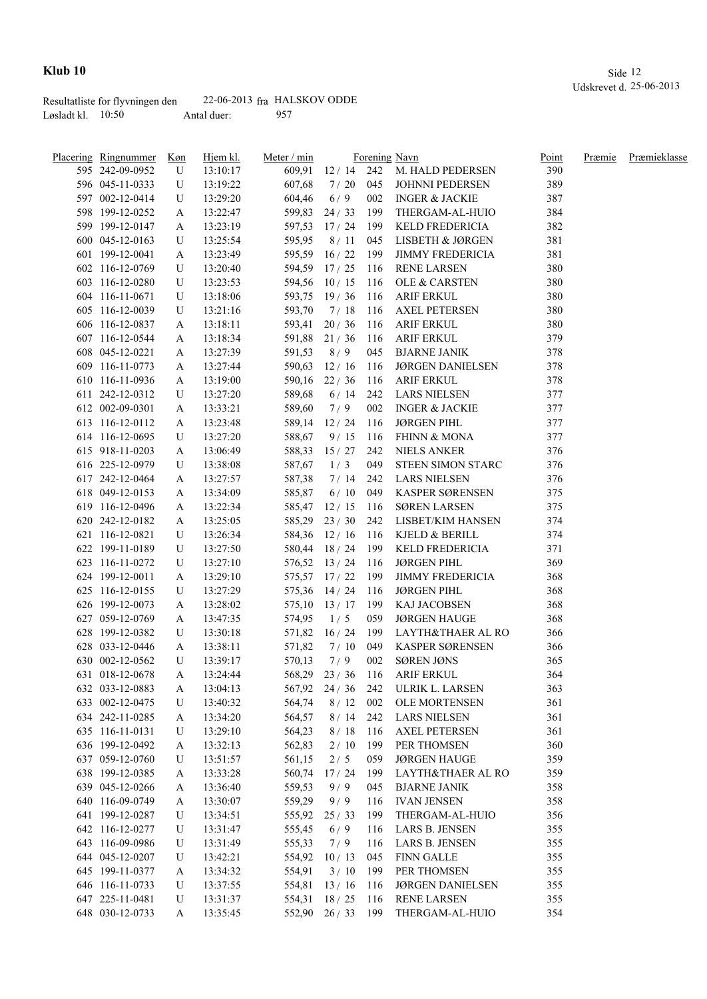|                     | Resultatliste for flyvningen den |             | $22-06-2013$ fra HALSKOV ODDE |
|---------------------|----------------------------------|-------------|-------------------------------|
| Løsladt kl. $10:50$ |                                  | Antal duer: | 957                           |

| <u>Placering Ringnummer</u> | Køn | Hjem kl. | Meter / min |                  |     | Forening Navn                       | Point | Præmie | Præmieklasse |
|-----------------------------|-----|----------|-------------|------------------|-----|-------------------------------------|-------|--------|--------------|
| 595 242-09-0952             | U   | 13:10:17 |             |                  |     | 609,91 12 / 14 242 M. HALD PEDERSEN | 390   |        |              |
| 596 045-11-0333             | U   | 13:19:22 | 607,68      | 7/20             | 045 | JOHNNI PEDERSEN                     | 389   |        |              |
| 597 002-12-0414             | U   | 13:29:20 | 604,46      | 6/9              | 002 | <b>INGER &amp; JACKIE</b>           | 387   |        |              |
| 598 199-12-0252             | A   | 13:22:47 |             | 599,83 24 / 33   | 199 | THERGAM-AL-HUIO                     | 384   |        |              |
| 599 199-12-0147             | A   | 13:23:19 |             | 597,53 17/24     | 199 | <b>KELD FREDERICIA</b>              | 382   |        |              |
| 600 045-12-0163             | U   | 13:25:54 | 595,95      | 8/11             | 045 | LISBETH & JØRGEN                    | 381   |        |              |
| 601 199-12-0041             | A   | 13:23:49 |             | 595,59 16/22     | 199 | <b>JIMMY FREDERICIA</b>             | 381   |        |              |
| 602 116-12-0769             | U   | 13:20:40 |             | 594,59 17/25     | 116 | <b>RENE LARSEN</b>                  | 380   |        |              |
| 603 116-12-0280             | U   | 13:23:53 |             | 594,56 10/15     | 116 | <b>OLE &amp; CARSTEN</b>            | 380   |        |              |
| 604 116-11-0671             | U   | 13:18:06 |             | 593,75 19/36     | 116 | <b>ARIF ERKUL</b>                   | 380   |        |              |
| 605 116-12-0039             | U   | 13:21:16 | 593,70      | 7/18             | 116 | <b>AXEL PETERSEN</b>                | 380   |        |              |
| 606 116-12-0837             | A   | 13:18:11 | 593,41      | 20/36            | 116 | <b>ARIF ERKUL</b>                   | 380   |        |              |
| 607 116-12-0544             | A   | 13:18:34 |             | 591,88 21/36     | 116 | <b>ARIF ERKUL</b>                   | 379   |        |              |
| 608 045-12-0221             | A   | 13:27:39 | 591,53      | 8/9              | 045 | <b>BJARNE JANIK</b>                 | 378   |        |              |
| 609 116-11-0773             | A   | 13:27:44 | 590,63      | 12/16            | 116 | <b>JØRGEN DANIELSEN</b>             | 378   |        |              |
| 610 116-11-0936             | A   | 13:19:00 |             | 590,16 22/36     | 116 | ARIF ERKUL                          | 378   |        |              |
| 611 242-12-0312             | U   | 13:27:20 | 589,68      | 6/14             | 242 | <b>LARS NIELSEN</b>                 | 377   |        |              |
| 612 002-09-0301             | A   | 13:33:21 | 589,60      | 7/9              | 002 | <b>INGER &amp; JACKIE</b>           | 377   |        |              |
| 613 116-12-0112             | A   | 13:23:48 |             | 589,14 12/24     | 116 | JØRGEN PIHL                         | 377   |        |              |
| 614 116-12-0695             | U   | 13:27:20 | 588,67      | 9/15             |     | 116 FHINN & MONA                    | 377   |        |              |
| 615 918-11-0203             | A   | 13:06:49 | 588,33      | 15/27            |     | 242 NIELS ANKER                     | 376   |        |              |
| 616 225-12-0979             | U   | 13:38:08 | 587,67      | 1/3              | 049 | STEEN SIMON STARC                   | 376   |        |              |
| 617 242-12-0464             | A   | 13:27:57 | 587,38      | 7/14             | 242 | LARS NIELSEN                        | 376   |        |              |
| 618 049-12-0153             | A   | 13:34:09 | 585,87      | 6/10             | 049 | KASPER SØRENSEN                     | 375   |        |              |
| 619 116-12-0496             | A   | 13:22:34 |             | 585,47 12/15     | 116 | <b>SØREN LARSEN</b>                 | 375   |        |              |
| 620 242-12-0182             | A   | 13:25:05 |             | $585,29$ 23/30   | 242 | LISBET/KIM HANSEN                   | 374   |        |              |
| 621 116-12-0821             | U   | 13:26:34 |             | 584,36 12/16     | 116 | KJELD & BERILL                      | 374   |        |              |
| 622 199-11-0189             | U   | 13:27:50 |             | 580,44 18 / 24   | 199 | KELD FREDERICIA                     | 371   |        |              |
| 623 116-11-0272             | U   |          |             | 576,52 13/24     | 116 | <b>JØRGEN PIHL</b>                  | 369   |        |              |
| 624 199-12-0011             |     | 13:27:10 |             | 575,57 17/22     | 199 | <b>JIMMY FREDERICIA</b>             | 368   |        |              |
|                             | A   | 13:29:10 |             |                  |     |                                     |       |        |              |
| 625 116-12-0155             | U   | 13:27:29 |             | 575,36 14/24     | 116 | <b>JØRGEN PIHL</b>                  | 368   |        |              |
| 626 199-12-0073             | A   | 13:28:02 |             | $575,10$ 13 / 17 | 199 | KAJ JACOBSEN                        | 368   |        |              |
| 627 059-12-0769             | A   | 13:47:35 | 574,95      | 1/5              | 059 | <b>JØRGEN HAUGE</b>                 | 368   |        |              |
| 628 199-12-0382             | U   | 13:30:18 |             | 571,82 16/24     | 199 | LAYTH&THAER AL RO                   | 366   |        |              |
| 628 033-12-0446             | A   | 13:38:11 | 571,82      | 7/10             | 049 | KASPER SØRENSEN                     | 366   |        |              |
| 630 002-12-0562             | U   | 13:39:17 | 570,13      | 7/9              | 002 | <b>SØREN JØNS</b>                   | 365   |        |              |
| 631 018-12-0678             | A   | 13:24:44 |             | 568,29 23/36 116 |     | ARIF ERKUL                          | 364   |        |              |
| 632 033-12-0883             | A   | 13:04:13 | 567,92      | 24/36            | 242 | ULRIK L. LARSEN                     | 363   |        |              |
| 633 002-12-0475             | U   | 13:40:32 | 564,74      | 8/12             | 002 | <b>OLE MORTENSEN</b>                | 361   |        |              |
| 634 242-11-0285             | A   | 13:34:20 | 564,57      | 8/14             | 242 | <b>LARS NIELSEN</b>                 | 361   |        |              |
| 635 116-11-0131             | U   | 13:29:10 | 564,23      | 8/18             | 116 | <b>AXEL PETERSEN</b>                | 361   |        |              |
| 636 199-12-0492             | A   | 13:32:13 | 562,83      | 2/10             | 199 | PER THOMSEN                         | 360   |        |              |
| 637 059-12-0760             | U   | 13:51:57 | 561,15      | 2/5              | 059 | <b>JØRGEN HAUGE</b>                 | 359   |        |              |
| 638 199-12-0385             | A   | 13:33:28 | 560,74      | 17/24            | 199 | LAYTH&THAER AL RO                   | 359   |        |              |
| 639 045-12-0266             | A   | 13:36:40 | 559,53      | 9/9              | 045 | <b>BJARNE JANIK</b>                 | 358   |        |              |
| 640 116-09-0749             | A   | 13:30:07 | 559,29      | 9/9              | 116 | <b>IVAN JENSEN</b>                  | 358   |        |              |
| 641 199-12-0287             | U   | 13:34:51 | 555,92      | 25/33            | 199 | THERGAM-AL-HUIO                     | 356   |        |              |
| 642 116-12-0277             | U   | 13:31:47 | 555,45      | 6/9              | 116 | LARS B. JENSEN                      | 355   |        |              |
| 643 116-09-0986             | U   | 13:31:49 | 555,33      | 7/9              | 116 | LARS B. JENSEN                      | 355   |        |              |
| 644 045-12-0207             | U   | 13:42:21 |             | 554,92 10/13     | 045 | <b>FINN GALLE</b>                   | 355   |        |              |
| 645 199-11-0377             | A   | 13:34:32 | 554,91      | 3/10             | 199 | PER THOMSEN                         | 355   |        |              |
| 646 116-11-0733             | U   | 13:37:55 |             | 554,81 13/16     | 116 | <b>JØRGEN DANIELSEN</b>             | 355   |        |              |
| 647 225-11-0481             | U   | 13:31:37 |             | 554,31 18 / 25   | 116 | <b>RENE LARSEN</b>                  | 355   |        |              |
| 648 030-12-0733             | A   | 13:35:45 |             | 552,90 26/33     | 199 | THERGAM-AL-HUIO                     | 354   |        |              |
|                             |     |          |             |                  |     |                                     |       |        |              |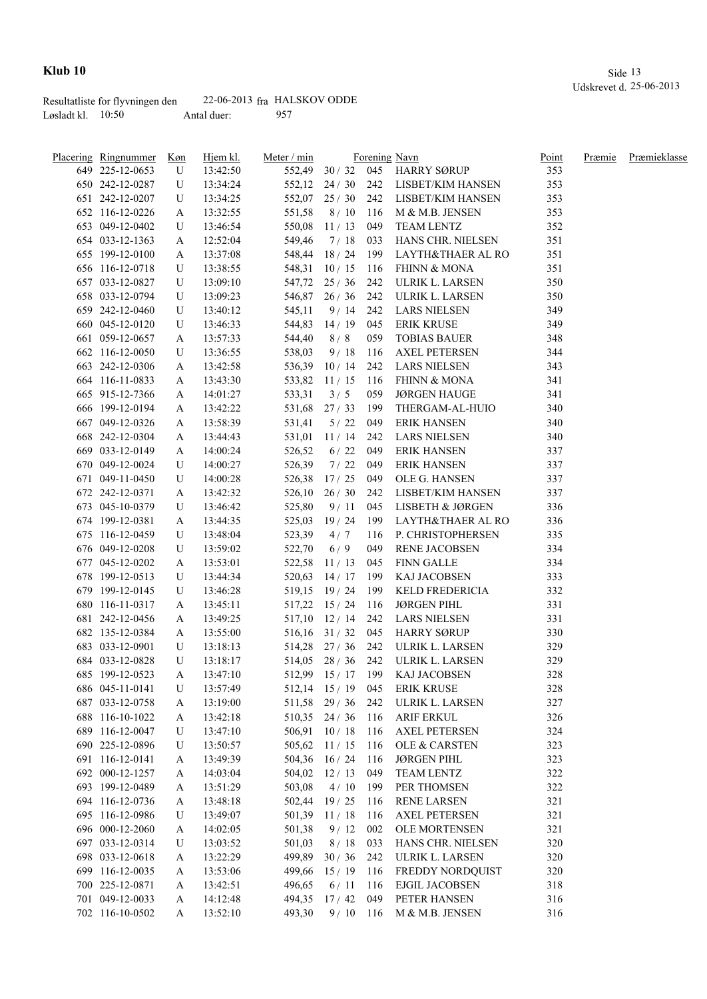|                     | Resultatliste for flyvningen den |             | $22-06-2013$ fra HALSKOV ODDE |
|---------------------|----------------------------------|-------------|-------------------------------|
| Løsladt kl. $10:50$ |                                  | Antal duer: | 957                           |

| Placering Ringnummer | <u>Køn</u> | Hjem kl. | Meter / min |                    |       | Forening Navn                        | Point | Præmie | Præmieklasse |
|----------------------|------------|----------|-------------|--------------------|-------|--------------------------------------|-------|--------|--------------|
| 649 225-12-0653      | U          | 13:42:50 |             |                    |       | 552,49 30 / 32 045 HARRY SØRUP       | 353   |        |              |
| 650 242-12-0287      | U          | 13:34:24 |             |                    |       | 552,12 24 / 30 242 LISBET/KIM HANSEN | 353   |        |              |
| 651 242-12-0207      | U          | 13:34:25 |             |                    |       | 552,07 25 / 30 242 LISBET/KIM HANSEN | 353   |        |              |
| 652 116-12-0226      | A          | 13:32:55 | 551,58      | 8/10               | 116   | M & M.B. JENSEN                      | 353   |        |              |
| 653 049-12-0402      | U          | 13:46:54 | 550,08      | 11/13              |       | 049 TEAM LENTZ                       | 352   |        |              |
| 654 033-12-1363      | A          | 12:52:04 | 549,46      | 7/18               | 033   | HANS CHR. NIELSEN                    | 351   |        |              |
| 655 199-12-0100      | A          | 13:37:08 |             | 548,44 18 / 24     |       | 199 LAYTH&THAER AL RO                | 351   |        |              |
| 656 116-12-0718      | U          | 13:38:55 |             | 548,31 10/15 116   |       | <b>FHINN &amp; MONA</b>              | 351   |        |              |
| 657 033-12-0827      | U          | 13:09:10 |             | 547,72 25 / 36     | 242   | ULRIK L. LARSEN                      | 350   |        |              |
| 658 033-12-0794      | U          | 13:09:23 |             | 546,87 26 / 36 242 |       | ULRIK L. LARSEN                      | 350   |        |              |
| 659 242-12-0460      | U          | 13:40:12 | 545,11      | 9/14               | 242   | <b>LARS NIELSEN</b>                  | 349   |        |              |
| 660 045-12-0120      | U          | 13:46:33 | 544,83      | 14/19              | 045   | <b>ERIK KRUSE</b>                    | 349   |        |              |
| 661 059-12-0657      | A          | 13:57:33 | 544,40      | 8/8                | 059   | <b>TOBIAS BAUER</b>                  | 348   |        |              |
| 662 116-12-0050      | U          | 13:36:55 | 538,03      | 9/18               | -116  | <b>AXEL PETERSEN</b>                 | 344   |        |              |
| 663 242-12-0306      | A          | 13:42:58 | 536,39      | 10/14              | 242   | <b>LARS NIELSEN</b>                  | 343   |        |              |
| 664 116-11-0833      | A          | 13:43:30 | 533,82      | 11/15              | 116   | <b>FHINN &amp; MONA</b>              | 341   |        |              |
| 665 915-12-7366      | A          | 14:01:27 | 533,31      | 3/5                | 059   | <b>JØRGEN HAUGE</b>                  | 341   |        |              |
| 666 199-12-0194      | A          | 13:42:22 | 531,68      | 27/33              | 199   | THERGAM-AL-HUIO                      | 340   |        |              |
| 667 049-12-0326      | A          | 13:58:39 | 531,41      | 5/22               | 049   | <b>ERIK HANSEN</b>                   | 340   |        |              |
| 668 242-12-0304      | A          | 13:44:43 | 531,01      | 11/14              | 242   | <b>LARS NIELSEN</b>                  | 340   |        |              |
| 669 033-12-0149      | A          | 14:00:24 | 526,52      | 6/22               | 049   | ERIK HANSEN                          | 337   |        |              |
| 670 049-12-0024      | U          | 14:00:27 | 526,39      | 7/22               | 049   | <b>ERIK HANSEN</b>                   | 337   |        |              |
| 671 049-11-0450      | U          | 14:00:28 | 526,38      | 17/25              | 049   | OLE G. HANSEN                        | 337   |        |              |
| 672 242-12-0371      | A          | 13:42:32 |             | $526,10$ $26/30$   | 242   | LISBET/KIM HANSEN                    | 337   |        |              |
| 673 045-10-0379      | U          | 13:46:42 | 525,80      | 9/11               | 045   | LISBETH & JØRGEN                     | 336   |        |              |
| 674 199-12-0381      | A          | 13:44:35 | 525,03      | 19/24              |       | 199 LAYTH&THAER AL RO                | 336   |        |              |
| 675 116-12-0459      | U          | 13:48:04 | 523,39      | 4/7                | 116   | P. CHRISTOPHERSEN                    | 335   |        |              |
| 676 049-12-0208      | U          | 13:59:02 | 522,70      | 6/9                | 049   | RENE JACOBSEN                        | 334   |        |              |
| 677 045-12-0202      | A          | 13:53:01 | 522,58      | 11/13              | 045   | FINN GALLE                           | 334   |        |              |
| 678 199-12-0513      | U          | 13:44:34 | 520,63      | 14/17              |       | 199 KAJ JACOBSEN                     | 333   |        |              |
| 679 199-12-0145      | U          | 13:46:28 |             | 519,15 19/24       | 199   | KELD FREDERICIA                      | 332   |        |              |
| 680 116-11-0317      | A          | 13:45:11 |             | 517,22 15/24       | 116   | <b>JØRGEN PIHL</b>                   | 331   |        |              |
| 681 242-12-0456      | A          | 13:49:25 |             | 517,10 12/14       | 242   | LARS NIELSEN                         | 331   |        |              |
| 682 135-12-0384      | A          | 13:55:00 |             | 516,16 31/32 045   |       | <b>HARRY SØRUP</b>                   | 330   |        |              |
| 683 033-12-0901      | U          | 13:18:13 |             | 514,28 27/36       | 242   | ULRIK L. LARSEN                      | 329   |        |              |
| 684 033-12-0828      | U          | 13:18:17 |             | 514,05 28 / 36 242 |       | ULRIK L. LARSEN                      | 329   |        |              |
| 685 199-12-0523      | A          | 13:47:10 |             |                    |       | 512,99 15 / 17 199 KAJ JACOBSEN      | 328   |        |              |
| 686 045-11-0141      | U          | 13:57:49 |             | 512,14 15 / 19     | 045   | <b>ERIK KRUSE</b>                    | 328   |        |              |
| 687 033-12-0758      | A          | 13:19:00 |             | 511,58 29/36       | 242   | ULRIK L. LARSEN                      | 327   |        |              |
| 688 116-10-1022      | A          | 13:42:18 |             | 510,35 24/36 116   |       | <b>ARIF ERKUL</b>                    | 326   |        |              |
| 689 116-12-0047      | U          | 13:47:10 |             | 506,91 10/18 116   |       | <b>AXEL PETERSEN</b>                 | 324   |        |              |
| 690 225-12-0896      | U          | 13:50:57 |             | 505,62 11/15       | - 116 | OLE & CARSTEN                        | 323   |        |              |
| 691 116-12-0141      | A          | 13:49:39 |             | 504,36 16/24       | -116  | <b>JØRGEN PIHL</b>                   | 323   |        |              |
| 692 000-12-1257      | A          | 14:03:04 | 504,02      | 12/13              | 049   | TEAM LENTZ                           | 322   |        |              |
| 693 199-12-0489      | A          | 13:51:29 | 503,08      | 4/10               | 199   | PER THOMSEN                          | 322   |        |              |
| 694 116-12-0736      | A          | 13:48:18 | 502,44      | 19/25              | 116   | <b>RENE LARSEN</b>                   | 321   |        |              |
| 695 116-12-0986      | U          | 13:49:07 | 501,39      | 11/18              | 116   | <b>AXEL PETERSEN</b>                 | 321   |        |              |
| 696 000-12-2060      | A          | 14:02:05 | 501,38      | 9/12               | 002   | OLE MORTENSEN                        | 321   |        |              |
| 697 033-12-0314      | U          | 13:03:52 | 501,03      | 8/18               | 033   | HANS CHR. NIELSEN                    | 320   |        |              |
| 698 033-12-0618      | A          | 13:22:29 | 499,89      | 30/36              | 242   | ULRIK L. LARSEN                      | 320   |        |              |
| 699 116-12-0035      | A          | 13:53:06 | 499,66      | 15/19              | 116   | FREDDY NORDQUIST                     | 320   |        |              |
| 700 225-12-0871      | A          | 13:42:51 | 496,65      | 6/11               | -116  | <b>EJGIL JACOBSEN</b>                | 318   |        |              |
| 701 049-12-0033      | A          | 14:12:48 | 494,35      | 17/42              | 049   | PETER HANSEN                         | 316   |        |              |
| 702 116-10-0502      | A          | 13:52:10 | 493,30      | $9/10$ 116         |       | M & M.B. JENSEN                      | 316   |        |              |
|                      |            |          |             |                    |       |                                      |       |        |              |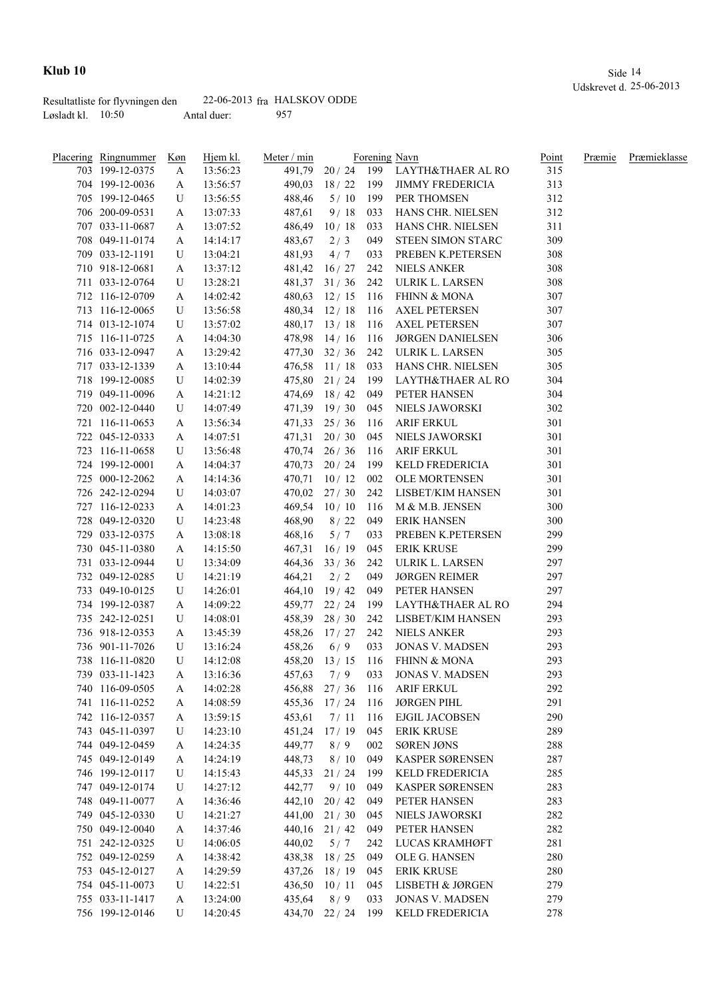|                     | Resultatliste for flyvningen den |             | $22-06-2013$ fra HALSKOV ODDE |
|---------------------|----------------------------------|-------------|-------------------------------|
| Løsladt kl. $10:50$ |                                  | Antal duer: | 957                           |

| Placering Ringnummer | Køn    | Hjem kl. | Meter / min |                    |      | Forening Navn                        | <u>Point</u> | Præmie | Præmieklasse |
|----------------------|--------|----------|-------------|--------------------|------|--------------------------------------|--------------|--------|--------------|
| 703 199-12-0375      | A      | 13:56:23 |             |                    |      | 491,79 20 / 24 199 LAYTH&THAER AL RO | 315          |        |              |
| 704 199-12-0036      | A      | 13:56:57 | 490,03      |                    |      | 18 / 22 199 JIMMY FREDERICIA         | 313          |        |              |
| 705 199-12-0465      | U      | 13:56:55 | 488,46      | 5/10               | 199  | PER THOMSEN                          | 312          |        |              |
| 706 200-09-0531      | A      | 13:07:33 | 487,61      | 9/18               | 033  | HANS CHR. NIELSEN                    | 312          |        |              |
| 707 033-11-0687      | A      | 13:07:52 | 486,49      | 10/18              | 033  | HANS CHR. NIELSEN                    | 311          |        |              |
| 708 049-11-0174      | A      | 14:14:17 | 483,67      | 2/3                | 049  | STEEN SIMON STARC                    | 309          |        |              |
| 709 033-12-1191      | U      | 13:04:21 | 481,93      | 4/7                | 033  | PREBEN K.PETERSEN                    | 308          |        |              |
| 710 918-12-0681      | A      | 13:37:12 | 481,42      | 16/27              | 242  | <b>NIELS ANKER</b>                   | 308          |        |              |
| 711 033-12-0764      | U      | 13:28:21 |             | $481,37$ $31/36$   | 242  | ULRIK L. LARSEN                      | 308          |        |              |
| 712 116-12-0709      | A      | 14:02:42 | 480,63      | 12/15              | -116 | <b>FHINN &amp; MONA</b>              | 307          |        |              |
| 713 116-12-0065      | U      | 13:56:58 |             | 480,34 12/18       | 116  | <b>AXEL PETERSEN</b>                 | 307          |        |              |
| 714 013-12-1074      | U      | 13:57:02 |             | $480,17$ 13 / 18   | 116  | <b>AXEL PETERSEN</b>                 | 307          |        |              |
| 715 116-11-0725      | A      | 14:04:30 |             | 478,98 14 / 16     | 116  | <b>JØRGEN DANIELSEN</b>              | 306          |        |              |
| 716 033-12-0947      | A      | 13:29:42 |             | 477,30 32/36       | 242  | ULRIK L. LARSEN                      | 305          |        |              |
| 717 033-12-1339      | A      | 13:10:44 |             | 476,58 11/18       | 033  | HANS CHR. NIELSEN                    | 305          |        |              |
| 718 199-12-0085      | U      | 14:02:39 |             | 475,80 21/24       |      | 199 LAYTH&THAER AL RO                | 304          |        |              |
| 719 049-11-0096      | A      | 14:21:12 |             | $474,69$ $18/42$   | 049  | PETER HANSEN                         | 304          |        |              |
| 720 002-12-0440      | U      | 14:07:49 |             | 471,39 19/30       | 045  | NIELS JAWORSKI                       | 302          |        |              |
| 721 116-11-0653      | A      | 13:56:34 |             | $471,33$ $25/36$   | 116  | ARIF ERKUL                           | 301          |        |              |
| 722 045-12-0333      | A      | 14:07:51 |             | $471,31$ $20/30$   | 045  | NIELS JAWORSKI                       | 301          |        |              |
| 723 116-11-0658      | U      | 13:56:48 |             | $470,74$ 26 / 36   |      | 116 ARIF ERKUL                       | 301          |        |              |
| 724 199-12-0001      | A      | 14:04:37 |             | 470,73 20 / 24     |      | 199 KELD FREDERICIA                  | 301          |        |              |
| 725 000-12-2062      |        |          |             | $470,71$ 10 / 12   |      | 002 OLE MORTENSEN                    | 301          |        |              |
| 726 242-12-0294      | A<br>U | 14:14:36 |             | $470,02$ 27/30     |      | 242 LISBET/KIM HANSEN                | 301          |        |              |
|                      |        | 14:03:07 |             |                    |      |                                      |              |        |              |
| 727 116-12-0233      | A      | 14:01:23 |             | $469,54$ 10 / 10   | 116  | M & M.B. JENSEN                      | 300          |        |              |
| 728 049-12-0320      | U      | 14:23:48 | 468,90      | 8/22               | 049  | <b>ERIK HANSEN</b>                   | 300          |        |              |
| 729 033-12-0375      | A      | 13:08:18 | 468,16      | 5/7                | 033  | PREBEN K.PETERSEN                    | 299          |        |              |
| 730 045-11-0380      | A      | 14:15:50 |             | $467,31$ 16/19     | 045  | <b>ERIK KRUSE</b>                    | 299          |        |              |
| 731 033-12-0944      | U      | 13:34:09 |             | $464,36$ $33 / 36$ | 242  | ULRIK L. LARSEN                      | 297          |        |              |
| 732 049-12-0285      | U      | 14:21:19 | 464,21      | 2/2                | 049  | <b>JØRGEN REIMER</b>                 | 297          |        |              |
| 733 049-10-0125      | U      | 14:26:01 |             | $464,10$ 19/42     | 049  | PETER HANSEN                         | 297          |        |              |
| 734 199-12-0387      | A      | 14:09:22 |             | 459,77 22 / 24     | 199  | LAYTH&THAER AL RO                    | 294          |        |              |
| 735 242-12-0251      | U      | 14:08:01 |             | 458,39 28 / 30     | 242  | LISBET/KIM HANSEN                    | 293          |        |              |
| 736 918-12-0353      | A      | 13:45:39 |             | 458,26 17/27       | 242  | <b>NIELS ANKER</b>                   | 293          |        |              |
| 736 901-11-7026      | U      | 13:16:24 | 458,26      | 6/9                | 033  | <b>JONAS V. MADSEN</b>               | 293          |        |              |
| 738 116-11-0820      | U      | 14:12:08 |             | $458,20$ 13 / 15   | 116  | <b>FHINN &amp; MONA</b>              | 293          |        |              |
| 739 033-11-1423      | A      | 13:16:36 | 457,63      | 7/9                | 033  | <b>JONAS V. MADSEN</b>               | 293          |        |              |
| 740 116-09-0505      | A      | 14:02:28 |             | 456,88 27/36       | 116  | ARIF ERKUL                           | 292          |        |              |
| 741 116-11-0252      | A      | 14:08:59 | 455,36      | 17/24              | 116  | <b>JØRGEN PIHL</b>                   | 291          |        |              |
| 742 116-12-0357      | A      | 13:59:15 | 453,61      | 7/11               | 116  | <b>EJGIL JACOBSEN</b>                | 290          |        |              |
| 743 045-11-0397      | U      | 14:23:10 | 451,24      | 17/19              | 045  | <b>ERIK KRUSE</b>                    | 289          |        |              |
| 744 049-12-0459      | A      | 14:24:35 | 449,77      | 8/9                | 002  | SØREN JØNS                           | 288          |        |              |
| 745 049-12-0149      | A      | 14:24:19 | 448,73      | 8/10               | 049  | KASPER SØRENSEN                      | 287          |        |              |
| 746 199-12-0117      | U      | 14:15:43 | 445,33      | 21/24              | 199  | KELD FREDERICIA                      | 285          |        |              |
| 747 049-12-0174      | U      | 14:27:12 | 442,77      | 9/10               | 049  | KASPER SØRENSEN                      | 283          |        |              |
| 748 049-11-0077      | A      | 14:36:46 | 442,10      | 20/42              | 049  | PETER HANSEN                         | 283          |        |              |
| 749 045-12-0330      | U      | 14:21:27 |             | 441,00 21/30       | 045  | NIELS JAWORSKI                       | 282          |        |              |
| 750 049-12-0040      | A      | 14:37:46 |             | $440,16$ 21/42     | 049  | PETER HANSEN                         | 282          |        |              |
| 751 242-12-0325      | U      | 14:06:05 | 440,02      | 5/7                | 242  | LUCAS KRAMHØFT                       | 281          |        |              |
| 752 049-12-0259      | A      | 14:38:42 |             | 438,38 18 / 25     | 049  | OLE G. HANSEN                        | 280          |        |              |
| 753 045-12-0127      | A      | 14:29:59 | 437,26      | 18/19              | 045  | <b>ERIK KRUSE</b>                    | 280          |        |              |
| 754 045-11-0073      | U      | 14:22:51 |             | 436,50 10/11       | 045  | LISBETH & JØRGEN                     | 279          |        |              |
| 755 033-11-1417      | A      | 13:24:00 | 435,64      | 8/9                | 033  | <b>JONAS V. MADSEN</b>               | 279          |        |              |
| 756 199-12-0146      | U      | 14:20:45 |             | 434,70 22 / 24     | 199  | KELD FREDERICIA                      | 278          |        |              |
|                      |        |          |             |                    |      |                                      |              |        |              |